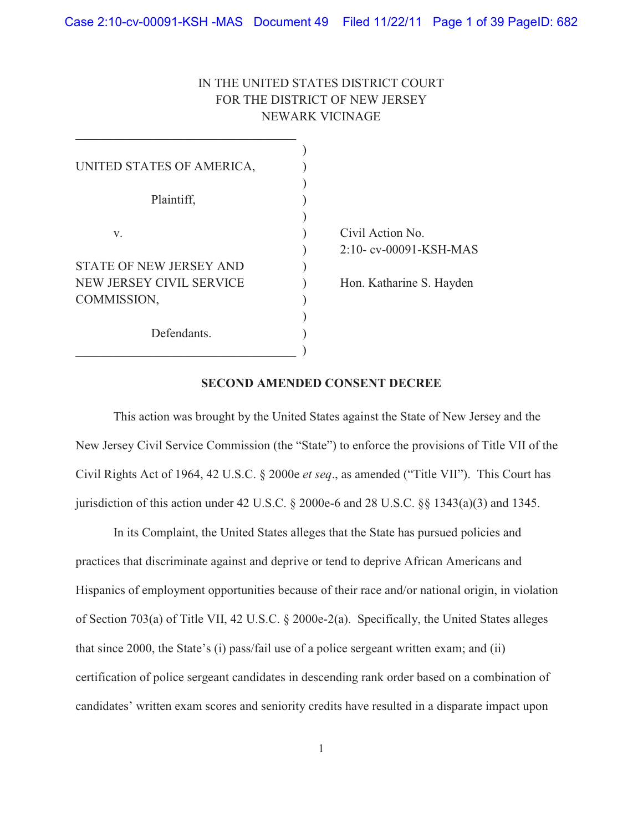# IN THE UNITED STATES DISTRICT COURT FOR THE DISTRICT OF NEW JERSEY NEWARK VICINAGE

| UNITED STATES OF AMERICA,      |                          |
|--------------------------------|--------------------------|
|                                |                          |
| Plaintiff,                     |                          |
|                                |                          |
| V.                             | Civil Action No.         |
|                                | 2:10-cv-00091-KSH-MAS    |
| <b>STATE OF NEW JERSEY AND</b> |                          |
| NEW JERSEY CIVIL SERVICE       | Hon. Katharine S. Hayden |
| COMMISSION,                    |                          |
|                                |                          |
| Defendants.                    |                          |
|                                |                          |

## **SECOND AMENDED CONSENT DECREE**

 This action was brought by the United States against the State of New Jersey and the New Jersey Civil Service Commission (the "State") to enforce the provisions of Title VII of the Civil Rights Act of 1964, 42 U.S.C. § 2000e *et seq*., as amended ("Title VII"). This Court has jurisdiction of this action under 42 U.S.C.  $\S$  2000e-6 and 28 U.S.C.  $\S$  $\S$  1343(a)(3) and 1345.

 In its Complaint, the United States alleges that the State has pursued policies and practices that discriminate against and deprive or tend to deprive African Americans and Hispanics of employment opportunities because of their race and/or national origin, in violation of Section 703(a) of Title VII, 42 U.S.C. § 2000e-2(a). Specifically, the United States alleges that since 2000, the State's (i) pass/fail use of a police sergeant written exam; and (ii) certification of police sergeant candidates in descending rank order based on a combination of candidates' written exam scores and seniority credits have resulted in a disparate impact upon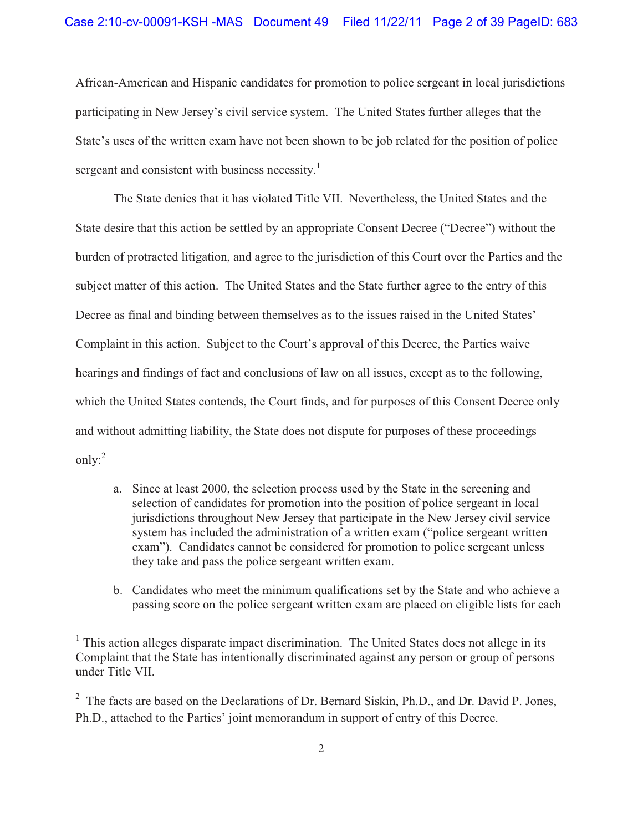African-American and Hispanic candidates for promotion to police sergeant in local jurisdictions participating in New Jersey's civil service system. The United States further alleges that the State's uses of the written exam have not been shown to be job related for the position of police sergeant and consistent with business necessity.<sup>1</sup>

 The State denies that it has violated Title VII. Nevertheless, the United States and the State desire that this action be settled by an appropriate Consent Decree ("Decree") without the burden of protracted litigation, and agree to the jurisdiction of this Court over the Parties and the subject matter of this action. The United States and the State further agree to the entry of this Decree as final and binding between themselves as to the issues raised in the United States' Complaint in this action. Subject to the Court's approval of this Decree, the Parties waive hearings and findings of fact and conclusions of law on all issues, except as to the following, which the United States contends, the Court finds, and for purposes of this Consent Decree only and without admitting liability, the State does not dispute for purposes of these proceedings only:<sup>2</sup>

- a. Since at least 2000, the selection process used by the State in the screening and selection of candidates for promotion into the position of police sergeant in local jurisdictions throughout New Jersey that participate in the New Jersey civil service system has included the administration of a written exam ("police sergeant written exam"). Candidates cannot be considered for promotion to police sergeant unless they take and pass the police sergeant written exam.
- b. Candidates who meet the minimum qualifications set by the State and who achieve a passing score on the police sergeant written exam are placed on eligible lists for each

 $\overline{a}$ 

<sup>&</sup>lt;sup>1</sup> This action alleges disparate impact discrimination. The United States does not allege in its Complaint that the State has intentionally discriminated against any person or group of persons under Title VII.

<sup>&</sup>lt;sup>2</sup> The facts are based on the Declarations of Dr. Bernard Siskin, Ph.D., and Dr. David P. Jones, Ph.D., attached to the Parties' joint memorandum in support of entry of this Decree.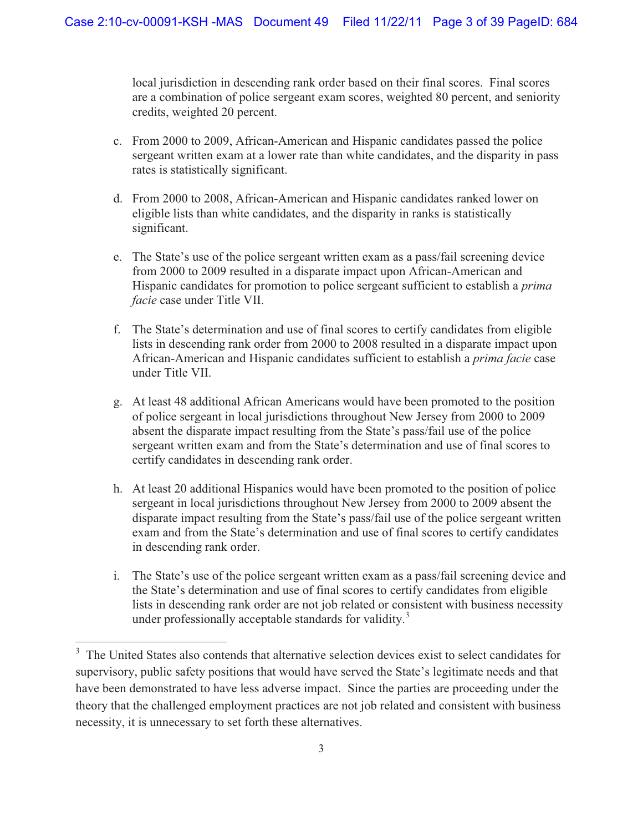local jurisdiction in descending rank order based on their final scores. Final scores are a combination of police sergeant exam scores, weighted 80 percent, and seniority credits, weighted 20 percent.

- c. From 2000 to 2009, African-American and Hispanic candidates passed the police sergeant written exam at a lower rate than white candidates, and the disparity in pass rates is statistically significant.
- d. From 2000 to 2008, African-American and Hispanic candidates ranked lower on eligible lists than white candidates, and the disparity in ranks is statistically significant.
- e. The State's use of the police sergeant written exam as a pass/fail screening device from 2000 to 2009 resulted in a disparate impact upon African-American and Hispanic candidates for promotion to police sergeant sufficient to establish a *prima facie* case under Title VII.
- f. The State's determination and use of final scores to certify candidates from eligible lists in descending rank order from 2000 to 2008 resulted in a disparate impact upon African-American and Hispanic candidates sufficient to establish a *prima facie* case under Title VII.
- g. At least 48 additional African Americans would have been promoted to the position of police sergeant in local jurisdictions throughout New Jersey from 2000 to 2009 absent the disparate impact resulting from the State's pass/fail use of the police sergeant written exam and from the State's determination and use of final scores to certify candidates in descending rank order.
- h. At least 20 additional Hispanics would have been promoted to the position of police sergeant in local jurisdictions throughout New Jersey from 2000 to 2009 absent the disparate impact resulting from the State's pass/fail use of the police sergeant written exam and from the State's determination and use of final scores to certify candidates in descending rank order.
- i. The State's use of the police sergeant written exam as a pass/fail screening device and the State's determination and use of final scores to certify candidates from eligible lists in descending rank order are not job related or consistent with business necessity under professionally acceptable standards for validity.<sup>3</sup>

 $\overline{a}$ 

<sup>&</sup>lt;sup>3</sup> The United States also contends that alternative selection devices exist to select candidates for supervisory, public safety positions that would have served the State's legitimate needs and that have been demonstrated to have less adverse impact. Since the parties are proceeding under the theory that the challenged employment practices are not job related and consistent with business necessity, it is unnecessary to set forth these alternatives.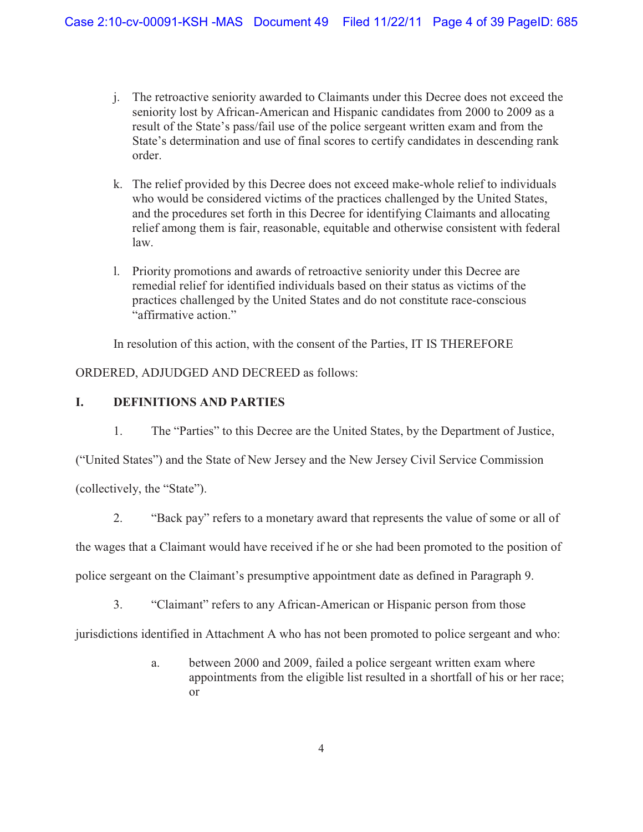- j. The retroactive seniority awarded to Claimants under this Decree does not exceed the seniority lost by African-American and Hispanic candidates from 2000 to 2009 as a result of the State's pass/fail use of the police sergeant written exam and from the State's determination and use of final scores to certify candidates in descending rank order.
- k. The relief provided by this Decree does not exceed make-whole relief to individuals who would be considered victims of the practices challenged by the United States, and the procedures set forth in this Decree for identifying Claimants and allocating relief among them is fair, reasonable, equitable and otherwise consistent with federal law.
- l. Priority promotions and awards of retroactive seniority under this Decree are remedial relief for identified individuals based on their status as victims of the practices challenged by the United States and do not constitute race-conscious "affirmative action."

In resolution of this action, with the consent of the Parties, IT IS THEREFORE

ORDERED, ADJUDGED AND DECREED as follows:

## **I. DEFINITIONS AND PARTIES**

1. The "Parties" to this Decree are the United States, by the Department of Justice,

("United States") and the State of New Jersey and the New Jersey Civil Service Commission

(collectively, the "State").

2. "Back pay" refers to a monetary award that represents the value of some or all of

the wages that a Claimant would have received if he or she had been promoted to the position of

police sergeant on the Claimant's presumptive appointment date as defined in Paragraph 9.

3. "Claimant" refers to any African-American or Hispanic person from those

jurisdictions identified in Attachment A who has not been promoted to police sergeant and who:

a. between 2000 and 2009, failed a police sergeant written exam where appointments from the eligible list resulted in a shortfall of his or her race; or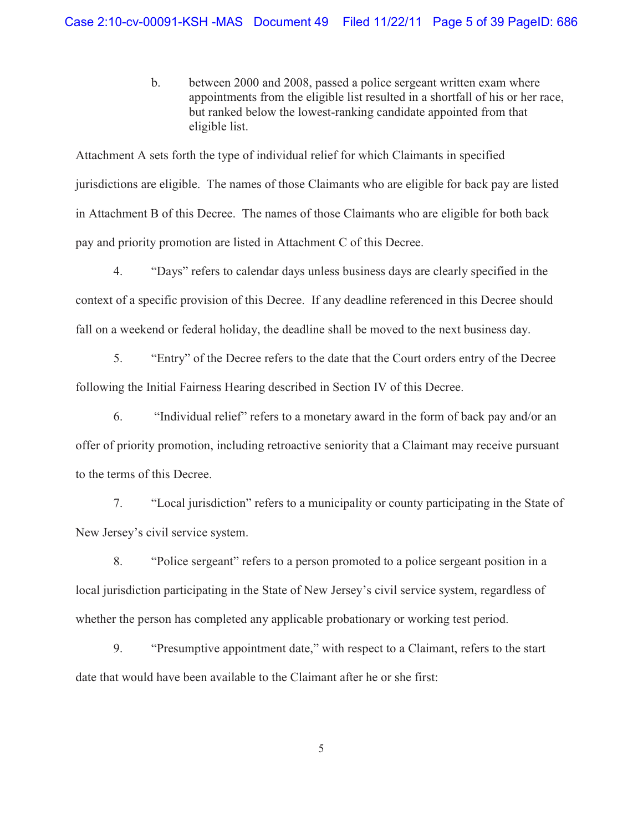b. between 2000 and 2008, passed a police sergeant written exam where appointments from the eligible list resulted in a shortfall of his or her race, but ranked below the lowest-ranking candidate appointed from that eligible list.

Attachment A sets forth the type of individual relief for which Claimants in specified jurisdictions are eligible. The names of those Claimants who are eligible for back pay are listed in Attachment B of this Decree. The names of those Claimants who are eligible for both back pay and priority promotion are listed in Attachment C of this Decree.

4. "Days" refers to calendar days unless business days are clearly specified in the context of a specific provision of this Decree. If any deadline referenced in this Decree should fall on a weekend or federal holiday, the deadline shall be moved to the next business day.

5. "Entry" of the Decree refers to the date that the Court orders entry of the Decree following the Initial Fairness Hearing described in Section IV of this Decree.

6. "Individual relief" refers to a monetary award in the form of back pay and/or an offer of priority promotion, including retroactive seniority that a Claimant may receive pursuant to the terms of this Decree.

7. "Local jurisdiction" refers to a municipality or county participating in the State of New Jersey's civil service system.

8. "Police sergeant" refers to a person promoted to a police sergeant position in a local jurisdiction participating in the State of New Jersey's civil service system, regardless of whether the person has completed any applicable probationary or working test period.

9. "Presumptive appointment date," with respect to a Claimant, refers to the start date that would have been available to the Claimant after he or she first:

5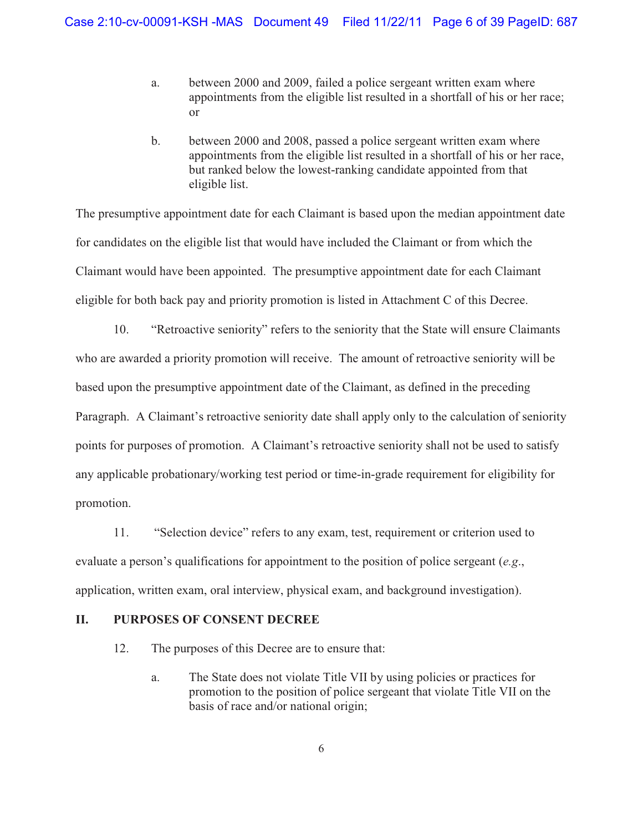- a. between 2000 and 2009, failed a police sergeant written exam where appointments from the eligible list resulted in a shortfall of his or her race; or
- b. between 2000 and 2008, passed a police sergeant written exam where appointments from the eligible list resulted in a shortfall of his or her race, but ranked below the lowest-ranking candidate appointed from that eligible list.

The presumptive appointment date for each Claimant is based upon the median appointment date for candidates on the eligible list that would have included the Claimant or from which the Claimant would have been appointed. The presumptive appointment date for each Claimant eligible for both back pay and priority promotion is listed in Attachment C of this Decree.

10. "Retroactive seniority" refers to the seniority that the State will ensure Claimants who are awarded a priority promotion will receive. The amount of retroactive seniority will be based upon the presumptive appointment date of the Claimant, as defined in the preceding Paragraph. A Claimant's retroactive seniority date shall apply only to the calculation of seniority points for purposes of promotion. A Claimant's retroactive seniority shall not be used to satisfy any applicable probationary/working test period or time-in-grade requirement for eligibility for promotion.

11. "Selection device" refers to any exam, test, requirement or criterion used to evaluate a person's qualifications for appointment to the position of police sergeant (*e.g*., application, written exam, oral interview, physical exam, and background investigation).

## **II. PURPOSES OF CONSENT DECREE**

- 12. The purposes of this Decree are to ensure that:
	- a. The State does not violate Title VII by using policies or practices for promotion to the position of police sergeant that violate Title VII on the basis of race and/or national origin;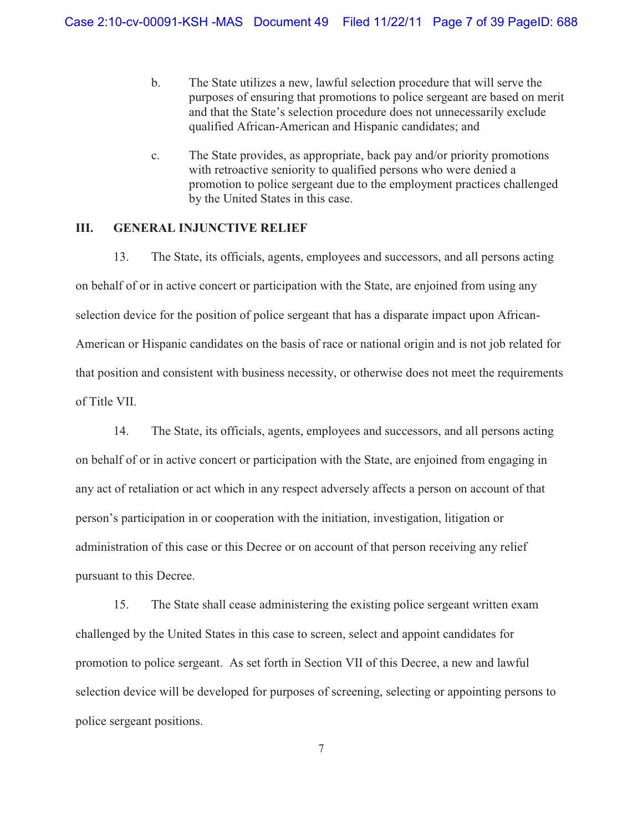- b. The State utilizes a new, lawful selection procedure that will serve the purposes of ensuring that promotions to police sergeant are based on merit and that the State's selection procedure does not unnecessarily exclude qualified African-American and Hispanic candidates; and
- c. The State provides, as appropriate, back pay and/or priority promotions with retroactive seniority to qualified persons who were denied a promotion to police sergeant due to the employment practices challenged by the United States in this case.

### **III. GENERAL INJUNCTIVE RELIEF**

13. The State, its officials, agents, employees and successors, and all persons acting on behalf of or in active concert or participation with the State, are enjoined from using any selection device for the position of police sergeant that has a disparate impact upon African-American or Hispanic candidates on the basis of race or national origin and is not job related for that position and consistent with business necessity, or otherwise does not meet the requirements of Title VII.

14. The State, its officials, agents, employees and successors, and all persons acting on behalf of or in active concert or participation with the State, are enjoined from engaging in any act of retaliation or act which in any respect adversely affects a person on account of that person's participation in or cooperation with the initiation, investigation, litigation or administration of this case or this Decree or on account of that person receiving any relief pursuant to this Decree.

15. The State shall cease administering the existing police sergeant written exam challenged by the United States in this case to screen, select and appoint candidates for promotion to police sergeant. As set forth in Section VII of this Decree, a new and lawful selection device will be developed for purposes of screening, selecting or appointing persons to police sergeant positions.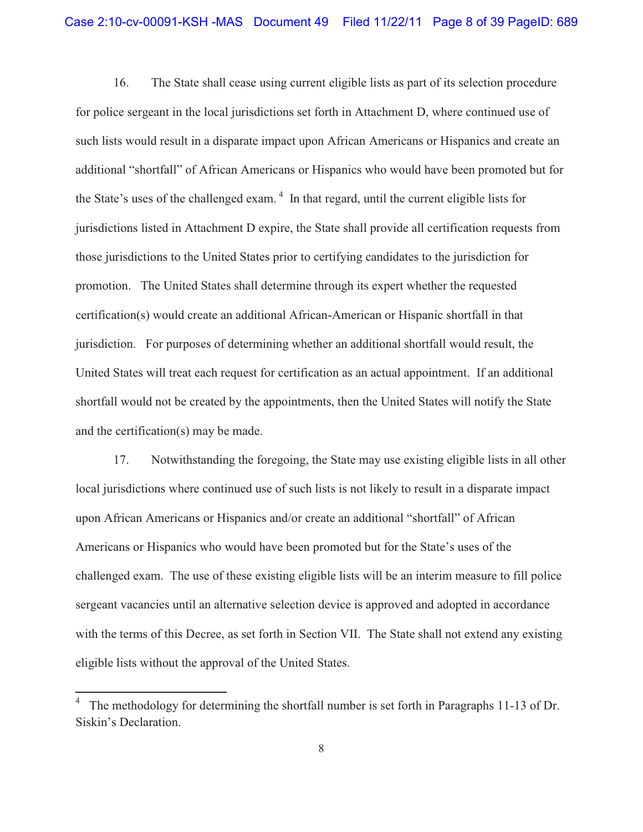16. The State shall cease using current eligible lists as part of its selection procedure for police sergeant in the local jurisdictions set forth in Attachment D, where continued use of such lists would result in a disparate impact upon African Americans or Hispanics and create an additional "shortfall" of African Americans or Hispanics who would have been promoted but for the State's uses of the challenged exam.<sup> $4$ </sup> In that regard, until the current eligible lists for jurisdictions listed in Attachment D expire, the State shall provide all certification requests from those jurisdictions to the United States prior to certifying candidates to the jurisdiction for promotion. The United States shall determine through its expert whether the requested certification(s) would create an additional African-American or Hispanic shortfall in that jurisdiction. For purposes of determining whether an additional shortfall would result, the United States will treat each request for certification as an actual appointment. If an additional shortfall would not be created by the appointments, then the United States will notify the State and the certification(s) may be made.

17. Notwithstanding the foregoing, the State may use existing eligible lists in all other local jurisdictions where continued use of such lists is not likely to result in a disparate impact upon African Americans or Hispanics and/or create an additional "shortfall" of African Americans or Hispanics who would have been promoted but for the State's uses of the challenged exam. The use of these existing eligible lists will be an interim measure to fill police sergeant vacancies until an alternative selection device is approved and adopted in accordance with the terms of this Decree, as set forth in Section VII. The State shall not extend any existing eligible lists without the approval of the United States.

 $\overline{a}$ 

<sup>4</sup> The methodology for determining the shortfall number is set forth in Paragraphs 11-13 of Dr. Siskin's Declaration.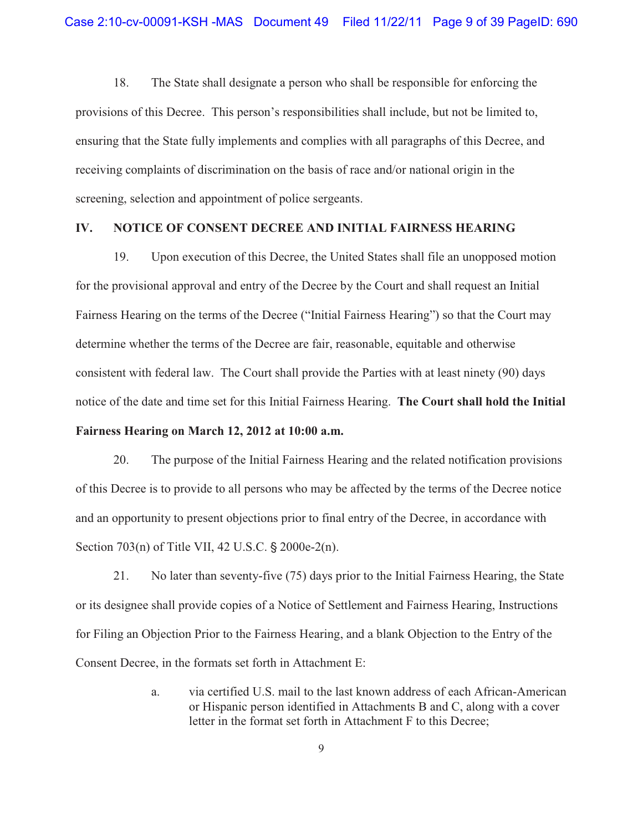18. The State shall designate a person who shall be responsible for enforcing the provisions of this Decree. This person's responsibilities shall include, but not be limited to, ensuring that the State fully implements and complies with all paragraphs of this Decree, and receiving complaints of discrimination on the basis of race and/or national origin in the screening, selection and appointment of police sergeants.

### **IV. NOTICE OF CONSENT DECREE AND INITIAL FAIRNESS HEARING**

19. Upon execution of this Decree, the United States shall file an unopposed motion for the provisional approval and entry of the Decree by the Court and shall request an Initial Fairness Hearing on the terms of the Decree ("Initial Fairness Hearing") so that the Court may determine whether the terms of the Decree are fair, reasonable, equitable and otherwise consistent with federal law. The Court shall provide the Parties with at least ninety (90) days notice of the date and time set for this Initial Fairness Hearing. **The Court shall hold the Initial Fairness Hearing on March 12, 2012 at 10:00 a.m.**

20. The purpose of the Initial Fairness Hearing and the related notification provisions of this Decree is to provide to all persons who may be affected by the terms of the Decree notice and an opportunity to present objections prior to final entry of the Decree, in accordance with Section  $703(n)$  of Title VII, 42 U.S.C.  $\S 2000e-2(n)$ .

21. No later than seventy-five (75) days prior to the Initial Fairness Hearing, the State or its designee shall provide copies of a Notice of Settlement and Fairness Hearing, Instructions for Filing an Objection Prior to the Fairness Hearing, and a blank Objection to the Entry of the Consent Decree, in the formats set forth in Attachment E:

> a. via certified U.S. mail to the last known address of each African-American or Hispanic person identified in Attachments B and C, along with a cover letter in the format set forth in Attachment F to this Decree;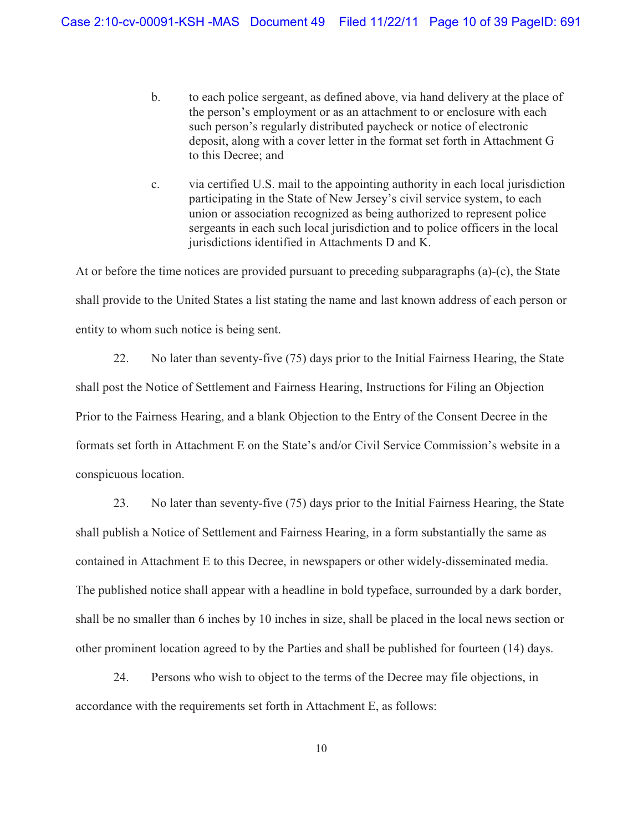- b. to each police sergeant, as defined above, via hand delivery at the place of the person's employment or as an attachment to or enclosure with each such person's regularly distributed paycheck or notice of electronic deposit, along with a cover letter in the format set forth in Attachment G to this Decree; and
- c. via certified U.S. mail to the appointing authority in each local jurisdiction participating in the State of New Jersey's civil service system, to each union or association recognized as being authorized to represent police sergeants in each such local jurisdiction and to police officers in the local jurisdictions identified in Attachments D and K.

At or before the time notices are provided pursuant to preceding subparagraphs (a)-(c), the State shall provide to the United States a list stating the name and last known address of each person or entity to whom such notice is being sent.

22. No later than seventy-five (75) days prior to the Initial Fairness Hearing, the State shall post the Notice of Settlement and Fairness Hearing, Instructions for Filing an Objection Prior to the Fairness Hearing, and a blank Objection to the Entry of the Consent Decree in the formats set forth in Attachment E on the State's and/or Civil Service Commission's website in a conspicuous location.

23. No later than seventy-five (75) days prior to the Initial Fairness Hearing, the State shall publish a Notice of Settlement and Fairness Hearing, in a form substantially the same as contained in Attachment E to this Decree, in newspapers or other widely-disseminated media. The published notice shall appear with a headline in bold typeface, surrounded by a dark border, shall be no smaller than 6 inches by 10 inches in size, shall be placed in the local news section or other prominent location agreed to by the Parties and shall be published for fourteen (14) days.

24. Persons who wish to object to the terms of the Decree may file objections, in accordance with the requirements set forth in Attachment E, as follows: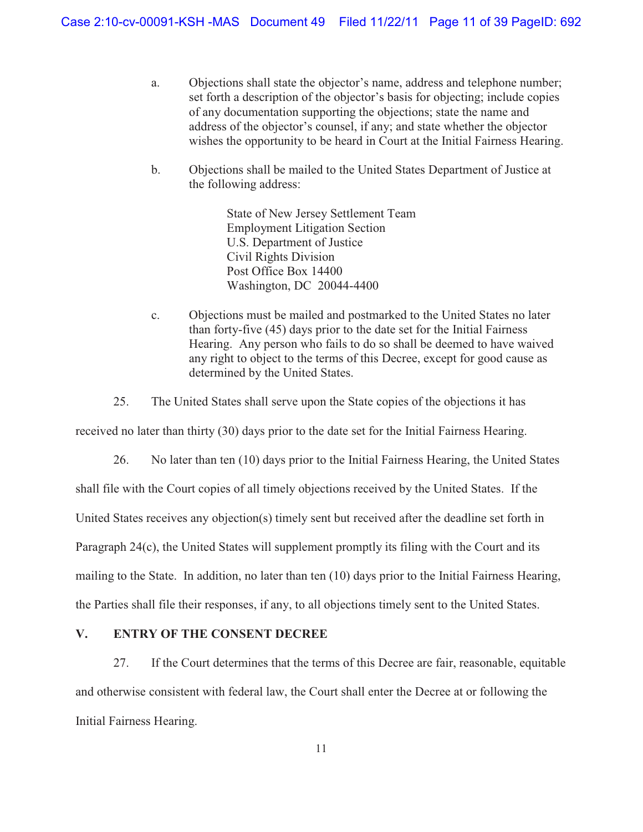- a. Objections shall state the objector's name, address and telephone number; set forth a description of the objector's basis for objecting; include copies of any documentation supporting the objections; state the name and address of the objector's counsel, if any; and state whether the objector wishes the opportunity to be heard in Court at the Initial Fairness Hearing.
- b. Objections shall be mailed to the United States Department of Justice at the following address:

State of New Jersey Settlement Team Employment Litigation Section U.S. Department of Justice Civil Rights Division Post Office Box 14400 Washington, DC 20044-4400

c. Objections must be mailed and postmarked to the United States no later than forty-five (45) days prior to the date set for the Initial Fairness Hearing. Any person who fails to do so shall be deemed to have waived any right to object to the terms of this Decree, except for good cause as determined by the United States.

25. The United States shall serve upon the State copies of the objections it has

received no later than thirty (30) days prior to the date set for the Initial Fairness Hearing.

26. No later than ten (10) days prior to the Initial Fairness Hearing, the United States shall file with the Court copies of all timely objections received by the United States. If the United States receives any objection(s) timely sent but received after the deadline set forth in Paragraph 24(c), the United States will supplement promptly its filing with the Court and its mailing to the State. In addition, no later than ten (10) days prior to the Initial Fairness Hearing, the Parties shall file their responses, if any, to all objections timely sent to the United States.

## **V. ENTRY OF THE CONSENT DECREE**

27. If the Court determines that the terms of this Decree are fair, reasonable, equitable and otherwise consistent with federal law, the Court shall enter the Decree at or following the Initial Fairness Hearing.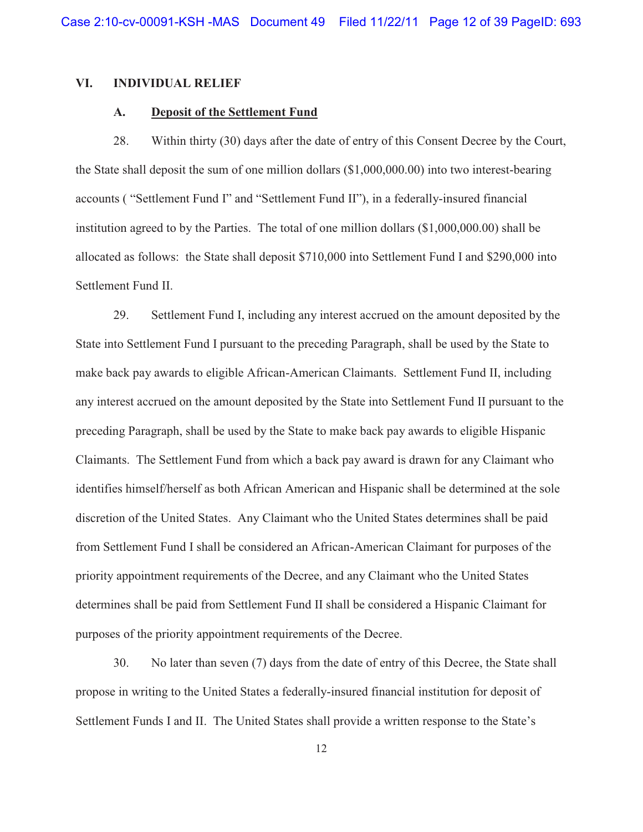### **VI. INDIVIDUAL RELIEF**

## **A. Deposit of the Settlement Fund**

28. Within thirty (30) days after the date of entry of this Consent Decree by the Court, the State shall deposit the sum of one million dollars (\$1,000,000.00) into two interest-bearing accounts ( "Settlement Fund I" and "Settlement Fund II"), in a federally-insured financial institution agreed to by the Parties. The total of one million dollars (\$1,000,000.00) shall be allocated as follows: the State shall deposit \$710,000 into Settlement Fund I and \$290,000 into Settlement Fund II.

29. Settlement Fund I, including any interest accrued on the amount deposited by the State into Settlement Fund I pursuant to the preceding Paragraph, shall be used by the State to make back pay awards to eligible African-American Claimants. Settlement Fund II, including any interest accrued on the amount deposited by the State into Settlement Fund II pursuant to the preceding Paragraph, shall be used by the State to make back pay awards to eligible Hispanic Claimants. The Settlement Fund from which a back pay award is drawn for any Claimant who identifies himself/herself as both African American and Hispanic shall be determined at the sole discretion of the United States. Any Claimant who the United States determines shall be paid from Settlement Fund I shall be considered an African-American Claimant for purposes of the priority appointment requirements of the Decree, and any Claimant who the United States determines shall be paid from Settlement Fund II shall be considered a Hispanic Claimant for purposes of the priority appointment requirements of the Decree.

30. No later than seven (7) days from the date of entry of this Decree, the State shall propose in writing to the United States a federally-insured financial institution for deposit of Settlement Funds I and II. The United States shall provide a written response to the State's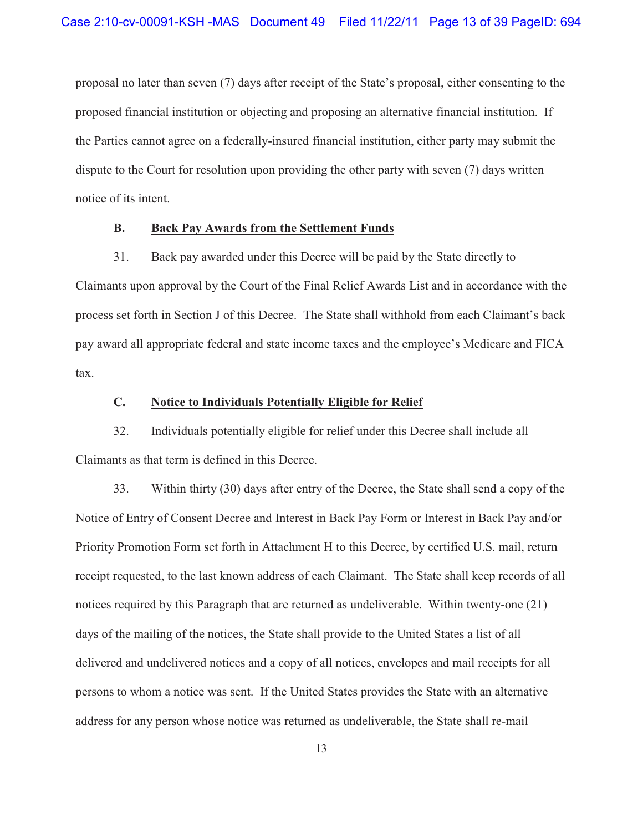proposal no later than seven (7) days after receipt of the State's proposal, either consenting to the proposed financial institution or objecting and proposing an alternative financial institution. If the Parties cannot agree on a federally-insured financial institution, either party may submit the dispute to the Court for resolution upon providing the other party with seven (7) days written notice of its intent.

### **B. Back Pay Awards from the Settlement Funds**

31. Back pay awarded under this Decree will be paid by the State directly to Claimants upon approval by the Court of the Final Relief Awards List and in accordance with the process set forth in Section J of this Decree. The State shall withhold from each Claimant's back pay award all appropriate federal and state income taxes and the employee's Medicare and FICA tax.

#### **C. Notice to Individuals Potentially Eligible for Relief**

32. Individuals potentially eligible for relief under this Decree shall include all Claimants as that term is defined in this Decree.

33. Within thirty (30) days after entry of the Decree, the State shall send a copy of the Notice of Entry of Consent Decree and Interest in Back Pay Form or Interest in Back Pay and/or Priority Promotion Form set forth in Attachment H to this Decree, by certified U.S. mail, return receipt requested, to the last known address of each Claimant. The State shall keep records of all notices required by this Paragraph that are returned as undeliverable. Within twenty-one (21) days of the mailing of the notices, the State shall provide to the United States a list of all delivered and undelivered notices and a copy of all notices, envelopes and mail receipts for all persons to whom a notice was sent. If the United States provides the State with an alternative address for any person whose notice was returned as undeliverable, the State shall re-mail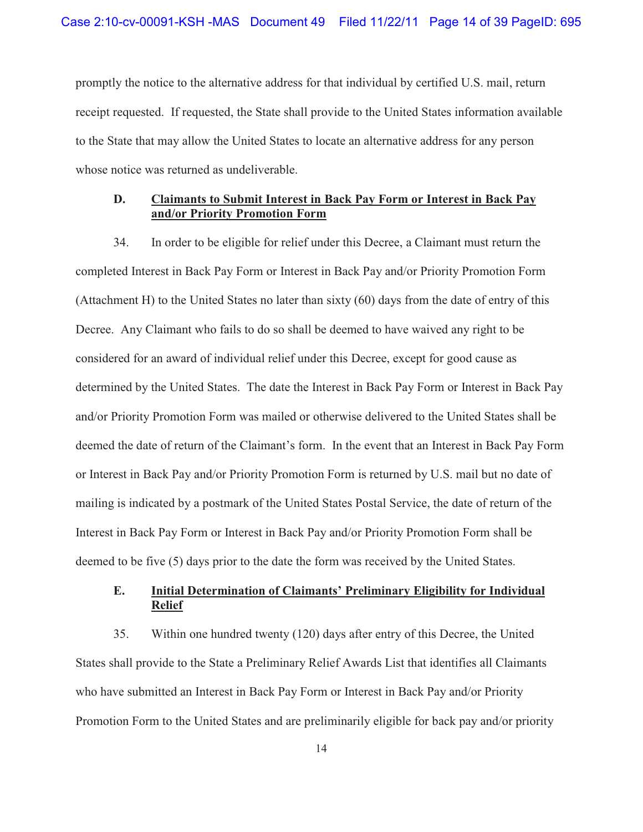promptly the notice to the alternative address for that individual by certified U.S. mail, return receipt requested. If requested, the State shall provide to the United States information available to the State that may allow the United States to locate an alternative address for any person whose notice was returned as undeliverable.

### **D. Claimants to Submit Interest in Back Pay Form or Interest in Back Pay and/or Priority Promotion Form**

34. In order to be eligible for relief under this Decree, a Claimant must return the completed Interest in Back Pay Form or Interest in Back Pay and/or Priority Promotion Form (Attachment H) to the United States no later than sixty (60) days from the date of entry of this Decree. Any Claimant who fails to do so shall be deemed to have waived any right to be considered for an award of individual relief under this Decree, except for good cause as determined by the United States. The date the Interest in Back Pay Form or Interest in Back Pay and/or Priority Promotion Form was mailed or otherwise delivered to the United States shall be deemed the date of return of the Claimant's form. In the event that an Interest in Back Pay Form or Interest in Back Pay and/or Priority Promotion Form is returned by U.S. mail but no date of mailing is indicated by a postmark of the United States Postal Service, the date of return of the Interest in Back Pay Form or Interest in Back Pay and/or Priority Promotion Form shall be deemed to be five (5) days prior to the date the form was received by the United States.

## **E. Initial Determination of Claimants' Preliminary Eligibility for Individual Relief**

35. Within one hundred twenty (120) days after entry of this Decree, the United States shall provide to the State a Preliminary Relief Awards List that identifies all Claimants who have submitted an Interest in Back Pay Form or Interest in Back Pay and/or Priority Promotion Form to the United States and are preliminarily eligible for back pay and/or priority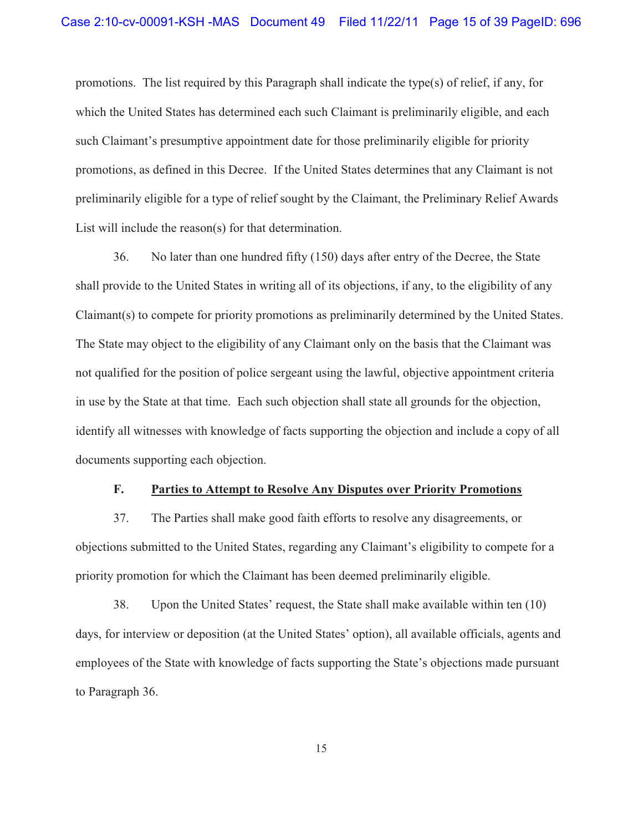promotions. The list required by this Paragraph shall indicate the type(s) of relief, if any, for which the United States has determined each such Claimant is preliminarily eligible, and each such Claimant's presumptive appointment date for those preliminarily eligible for priority promotions, as defined in this Decree. If the United States determines that any Claimant is not preliminarily eligible for a type of relief sought by the Claimant, the Preliminary Relief Awards List will include the reason(s) for that determination.

36. No later than one hundred fifty (150) days after entry of the Decree, the State shall provide to the United States in writing all of its objections, if any, to the eligibility of any Claimant(s) to compete for priority promotions as preliminarily determined by the United States. The State may object to the eligibility of any Claimant only on the basis that the Claimant was not qualified for the position of police sergeant using the lawful, objective appointment criteria in use by the State at that time. Each such objection shall state all grounds for the objection, identify all witnesses with knowledge of facts supporting the objection and include a copy of all documents supporting each objection.

#### **F. Parties to Attempt to Resolve Any Disputes over Priority Promotions**

37. The Parties shall make good faith efforts to resolve any disagreements, or objections submitted to the United States, regarding any Claimant's eligibility to compete for a priority promotion for which the Claimant has been deemed preliminarily eligible.

38. Upon the United States' request, the State shall make available within ten (10) days, for interview or deposition (at the United States' option), all available officials, agents and employees of the State with knowledge of facts supporting the State's objections made pursuant to Paragraph 36.

15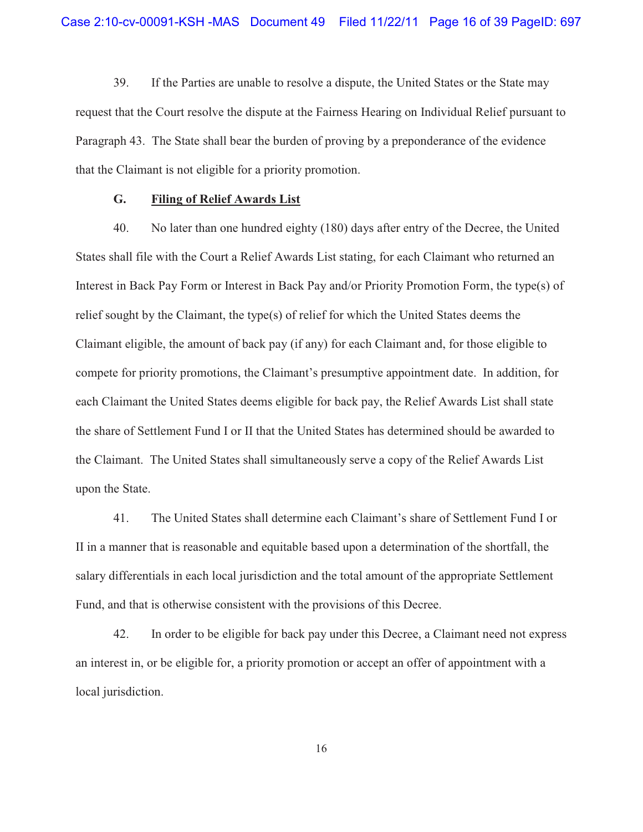39. If the Parties are unable to resolve a dispute, the United States or the State may request that the Court resolve the dispute at the Fairness Hearing on Individual Relief pursuant to Paragraph 43. The State shall bear the burden of proving by a preponderance of the evidence that the Claimant is not eligible for a priority promotion.

### **G. Filing of Relief Awards List**

40. No later than one hundred eighty (180) days after entry of the Decree, the United States shall file with the Court a Relief Awards List stating, for each Claimant who returned an Interest in Back Pay Form or Interest in Back Pay and/or Priority Promotion Form, the type(s) of relief sought by the Claimant, the type(s) of relief for which the United States deems the Claimant eligible, the amount of back pay (if any) for each Claimant and, for those eligible to compete for priority promotions, the Claimant's presumptive appointment date. In addition, for each Claimant the United States deems eligible for back pay, the Relief Awards List shall state the share of Settlement Fund I or II that the United States has determined should be awarded to the Claimant. The United States shall simultaneously serve a copy of the Relief Awards List upon the State.

41. The United States shall determine each Claimant's share of Settlement Fund I or II in a manner that is reasonable and equitable based upon a determination of the shortfall, the salary differentials in each local jurisdiction and the total amount of the appropriate Settlement Fund, and that is otherwise consistent with the provisions of this Decree.

42. In order to be eligible for back pay under this Decree, a Claimant need not express an interest in, or be eligible for, a priority promotion or accept an offer of appointment with a local jurisdiction.

16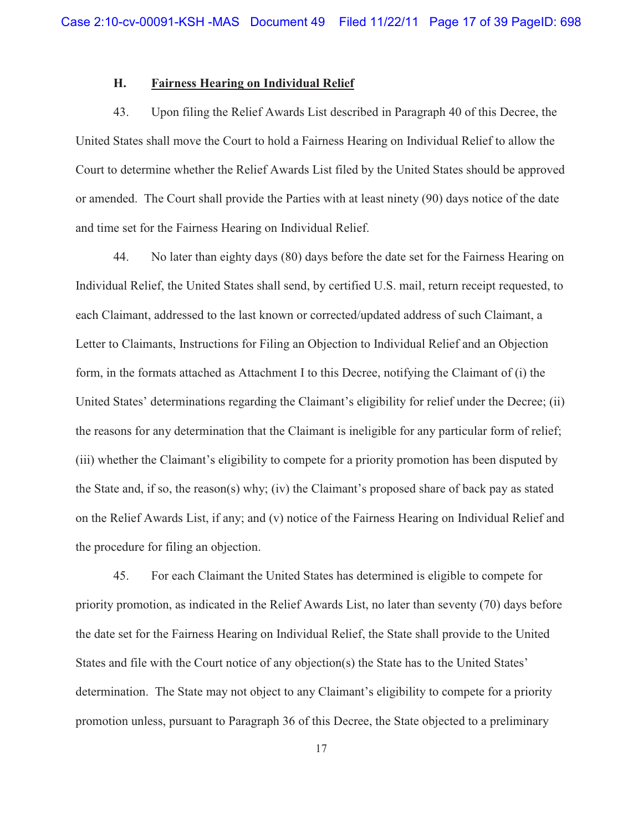## **H. Fairness Hearing on Individual Relief**

43. Upon filing the Relief Awards List described in Paragraph 40 of this Decree, the United States shall move the Court to hold a Fairness Hearing on Individual Relief to allow the Court to determine whether the Relief Awards List filed by the United States should be approved or amended. The Court shall provide the Parties with at least ninety (90) days notice of the date and time set for the Fairness Hearing on Individual Relief.

44. No later than eighty days (80) days before the date set for the Fairness Hearing on Individual Relief, the United States shall send, by certified U.S. mail, return receipt requested, to each Claimant, addressed to the last known or corrected/updated address of such Claimant, a Letter to Claimants, Instructions for Filing an Objection to Individual Relief and an Objection form, in the formats attached as Attachment I to this Decree, notifying the Claimant of (i) the United States' determinations regarding the Claimant's eligibility for relief under the Decree; (ii) the reasons for any determination that the Claimant is ineligible for any particular form of relief; (iii) whether the Claimant's eligibility to compete for a priority promotion has been disputed by the State and, if so, the reason(s) why; (iv) the Claimant's proposed share of back pay as stated on the Relief Awards List, if any; and (v) notice of the Fairness Hearing on Individual Relief and the procedure for filing an objection.

45. For each Claimant the United States has determined is eligible to compete for priority promotion, as indicated in the Relief Awards List, no later than seventy (70) days before the date set for the Fairness Hearing on Individual Relief, the State shall provide to the United States and file with the Court notice of any objection(s) the State has to the United States' determination. The State may not object to any Claimant's eligibility to compete for a priority promotion unless, pursuant to Paragraph 36 of this Decree, the State objected to a preliminary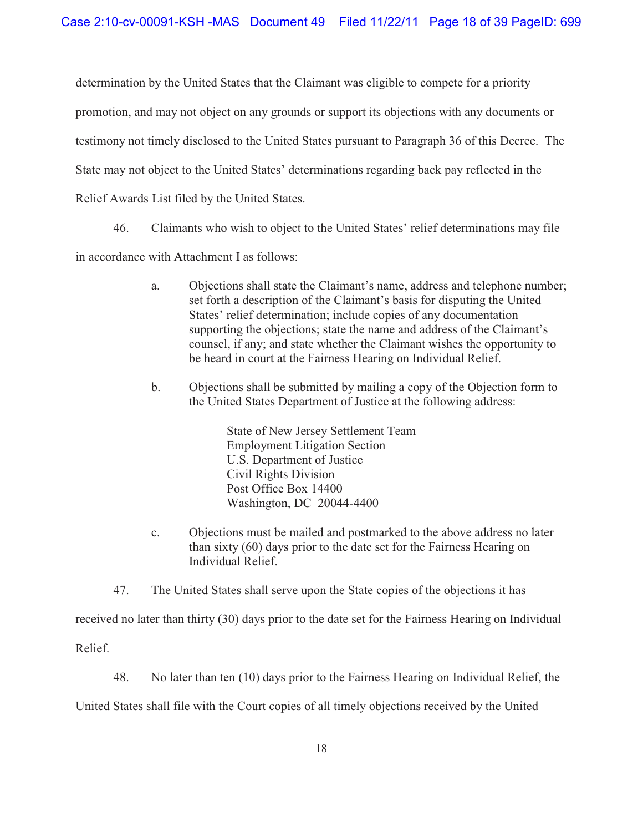determination by the United States that the Claimant was eligible to compete for a priority promotion, and may not object on any grounds or support its objections with any documents or testimony not timely disclosed to the United States pursuant to Paragraph 36 of this Decree. The State may not object to the United States' determinations regarding back pay reflected in the Relief Awards List filed by the United States.

46. Claimants who wish to object to the United States' relief determinations may file

in accordance with Attachment I as follows:

- a. Objections shall state the Claimant's name, address and telephone number; set forth a description of the Claimant's basis for disputing the United States' relief determination; include copies of any documentation supporting the objections; state the name and address of the Claimant's counsel, if any; and state whether the Claimant wishes the opportunity to be heard in court at the Fairness Hearing on Individual Relief.
- b. Objections shall be submitted by mailing a copy of the Objection form to the United States Department of Justice at the following address:

State of New Jersey Settlement Team Employment Litigation Section U.S. Department of Justice Civil Rights Division Post Office Box 14400 Washington, DC 20044-4400

- c. Objections must be mailed and postmarked to the above address no later than sixty (60) days prior to the date set for the Fairness Hearing on Individual Relief.
- 47. The United States shall serve upon the State copies of the objections it has

received no later than thirty (30) days prior to the date set for the Fairness Hearing on Individual

Relief.

48. No later than ten (10) days prior to the Fairness Hearing on Individual Relief, the

United States shall file with the Court copies of all timely objections received by the United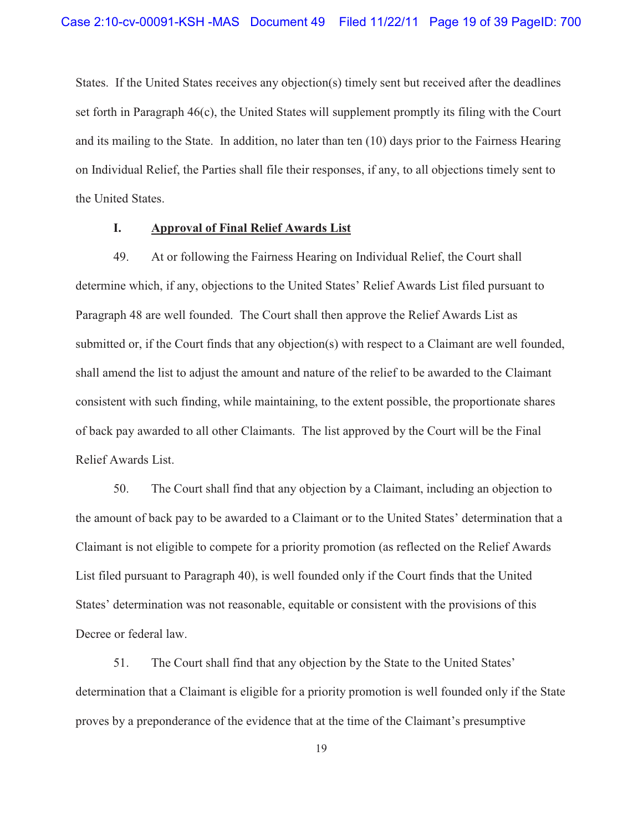States. If the United States receives any objection(s) timely sent but received after the deadlines set forth in Paragraph 46(c), the United States will supplement promptly its filing with the Court and its mailing to the State. In addition, no later than ten (10) days prior to the Fairness Hearing on Individual Relief, the Parties shall file their responses, if any, to all objections timely sent to the United States.

## **I. Approval of Final Relief Awards List**

49. At or following the Fairness Hearing on Individual Relief, the Court shall determine which, if any, objections to the United States' Relief Awards List filed pursuant to Paragraph 48 are well founded. The Court shall then approve the Relief Awards List as submitted or, if the Court finds that any objection(s) with respect to a Claimant are well founded, shall amend the list to adjust the amount and nature of the relief to be awarded to the Claimant consistent with such finding, while maintaining, to the extent possible, the proportionate shares of back pay awarded to all other Claimants. The list approved by the Court will be the Final Relief Awards List.

50. The Court shall find that any objection by a Claimant, including an objection to the amount of back pay to be awarded to a Claimant or to the United States' determination that a Claimant is not eligible to compete for a priority promotion (as reflected on the Relief Awards List filed pursuant to Paragraph 40), is well founded only if the Court finds that the United States' determination was not reasonable, equitable or consistent with the provisions of this Decree or federal law.

51. The Court shall find that any objection by the State to the United States' determination that a Claimant is eligible for a priority promotion is well founded only if the State proves by a preponderance of the evidence that at the time of the Claimant's presumptive

19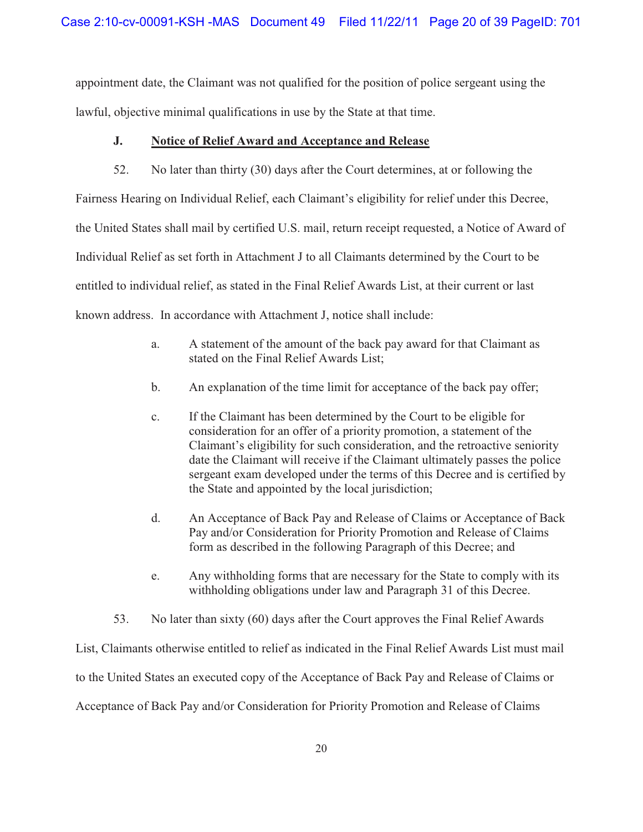appointment date, the Claimant was not qualified for the position of police sergeant using the lawful, objective minimal qualifications in use by the State at that time.

## **J. Notice of Relief Award and Acceptance and Release**

52. No later than thirty (30) days after the Court determines, at or following the Fairness Hearing on Individual Relief, each Claimant's eligibility for relief under this Decree, the United States shall mail by certified U.S. mail, return receipt requested, a Notice of Award of Individual Relief as set forth in Attachment J to all Claimants determined by the Court to be entitled to individual relief, as stated in the Final Relief Awards List, at their current or last known address. In accordance with Attachment J, notice shall include:

- a. A statement of the amount of the back pay award for that Claimant as stated on the Final Relief Awards List;
- b. An explanation of the time limit for acceptance of the back pay offer;
- c. If the Claimant has been determined by the Court to be eligible for consideration for an offer of a priority promotion, a statement of the Claimant's eligibility for such consideration, and the retroactive seniority date the Claimant will receive if the Claimant ultimately passes the police sergeant exam developed under the terms of this Decree and is certified by the State and appointed by the local jurisdiction;
- d. An Acceptance of Back Pay and Release of Claims or Acceptance of Back Pay and/or Consideration for Priority Promotion and Release of Claims form as described in the following Paragraph of this Decree; and
- e. Any withholding forms that are necessary for the State to comply with its withholding obligations under law and Paragraph 31 of this Decree.
- 53. No later than sixty (60) days after the Court approves the Final Relief Awards

List, Claimants otherwise entitled to relief as indicated in the Final Relief Awards List must mail to the United States an executed copy of the Acceptance of Back Pay and Release of Claims or Acceptance of Back Pay and/or Consideration for Priority Promotion and Release of Claims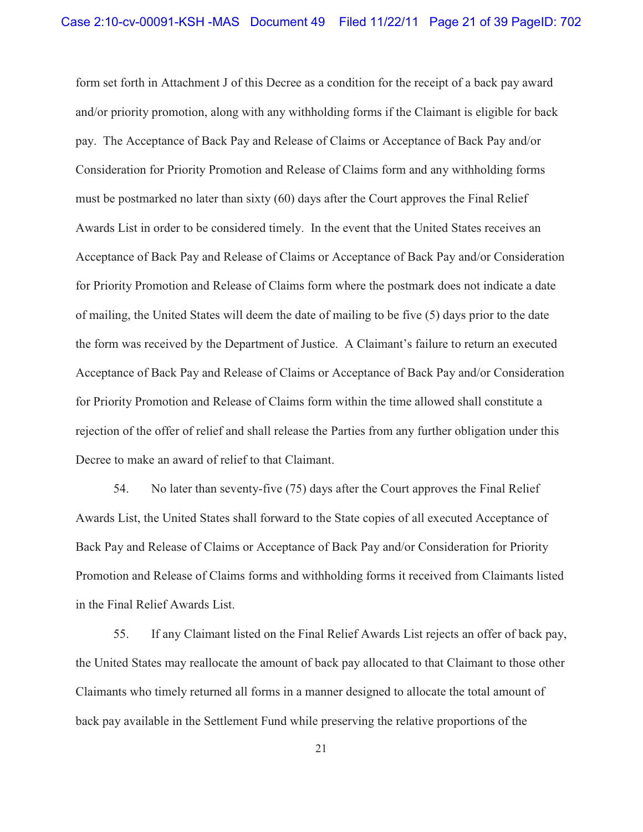form set forth in Attachment J of this Decree as a condition for the receipt of a back pay award and/or priority promotion, along with any withholding forms if the Claimant is eligible for back pay. The Acceptance of Back Pay and Release of Claims or Acceptance of Back Pay and/or Consideration for Priority Promotion and Release of Claims form and any withholding forms must be postmarked no later than sixty (60) days after the Court approves the Final Relief Awards List in order to be considered timely. In the event that the United States receives an Acceptance of Back Pay and Release of Claims or Acceptance of Back Pay and/or Consideration for Priority Promotion and Release of Claims form where the postmark does not indicate a date of mailing, the United States will deem the date of mailing to be five (5) days prior to the date the form was received by the Department of Justice. A Claimant's failure to return an executed Acceptance of Back Pay and Release of Claims or Acceptance of Back Pay and/or Consideration for Priority Promotion and Release of Claims form within the time allowed shall constitute a rejection of the offer of relief and shall release the Parties from any further obligation under this Decree to make an award of relief to that Claimant.

54. No later than seventy-five (75) days after the Court approves the Final Relief Awards List, the United States shall forward to the State copies of all executed Acceptance of Back Pay and Release of Claims or Acceptance of Back Pay and/or Consideration for Priority Promotion and Release of Claims forms and withholding forms it received from Claimants listed in the Final Relief Awards List.

55. If any Claimant listed on the Final Relief Awards List rejects an offer of back pay, the United States may reallocate the amount of back pay allocated to that Claimant to those other Claimants who timely returned all forms in a manner designed to allocate the total amount of back pay available in the Settlement Fund while preserving the relative proportions of the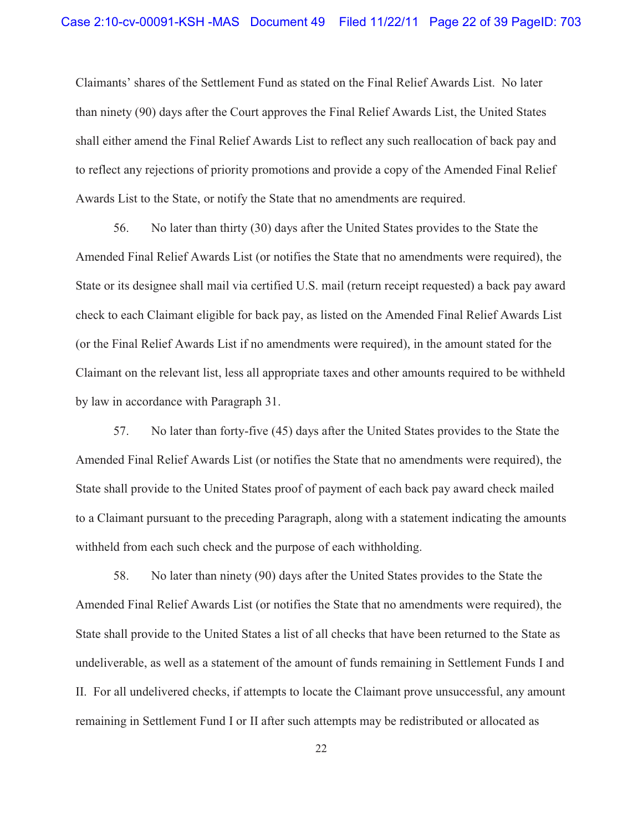Claimants' shares of the Settlement Fund as stated on the Final Relief Awards List. No later than ninety (90) days after the Court approves the Final Relief Awards List, the United States shall either amend the Final Relief Awards List to reflect any such reallocation of back pay and to reflect any rejections of priority promotions and provide a copy of the Amended Final Relief Awards List to the State, or notify the State that no amendments are required.

56. No later than thirty (30) days after the United States provides to the State the Amended Final Relief Awards List (or notifies the State that no amendments were required), the State or its designee shall mail via certified U.S. mail (return receipt requested) a back pay award check to each Claimant eligible for back pay, as listed on the Amended Final Relief Awards List (or the Final Relief Awards List if no amendments were required), in the amount stated for the Claimant on the relevant list, less all appropriate taxes and other amounts required to be withheld by law in accordance with Paragraph 31.

57. No later than forty-five (45) days after the United States provides to the State the Amended Final Relief Awards List (or notifies the State that no amendments were required), the State shall provide to the United States proof of payment of each back pay award check mailed to a Claimant pursuant to the preceding Paragraph, along with a statement indicating the amounts withheld from each such check and the purpose of each withholding.

58. No later than ninety (90) days after the United States provides to the State the Amended Final Relief Awards List (or notifies the State that no amendments were required), the State shall provide to the United States a list of all checks that have been returned to the State as undeliverable, as well as a statement of the amount of funds remaining in Settlement Funds I and II. For all undelivered checks, if attempts to locate the Claimant prove unsuccessful, any amount remaining in Settlement Fund I or II after such attempts may be redistributed or allocated as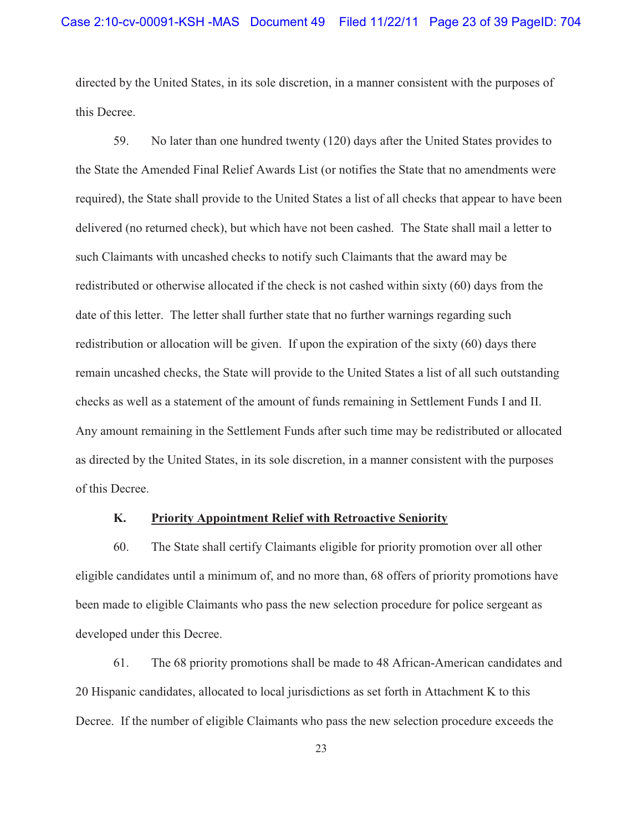directed by the United States, in its sole discretion, in a manner consistent with the purposes of this Decree.

59. No later than one hundred twenty (120) days after the United States provides to the State the Amended Final Relief Awards List (or notifies the State that no amendments were required), the State shall provide to the United States a list of all checks that appear to have been delivered (no returned check), but which have not been cashed. The State shall mail a letter to such Claimants with uncashed checks to notify such Claimants that the award may be redistributed or otherwise allocated if the check is not cashed within sixty (60) days from the date of this letter. The letter shall further state that no further warnings regarding such redistribution or allocation will be given. If upon the expiration of the sixty (60) days there remain uncashed checks, the State will provide to the United States a list of all such outstanding checks as well as a statement of the amount of funds remaining in Settlement Funds I and II. Any amount remaining in the Settlement Funds after such time may be redistributed or allocated as directed by the United States, in its sole discretion, in a manner consistent with the purposes of this Decree.

#### **K. Priority Appointment Relief with Retroactive Seniority**

60. The State shall certify Claimants eligible for priority promotion over all other eligible candidates until a minimum of, and no more than, 68 offers of priority promotions have been made to eligible Claimants who pass the new selection procedure for police sergeant as developed under this Decree.

61. The 68 priority promotions shall be made to 48 African-American candidates and 20 Hispanic candidates, allocated to local jurisdictions as set forth in Attachment K to this Decree. If the number of eligible Claimants who pass the new selection procedure exceeds the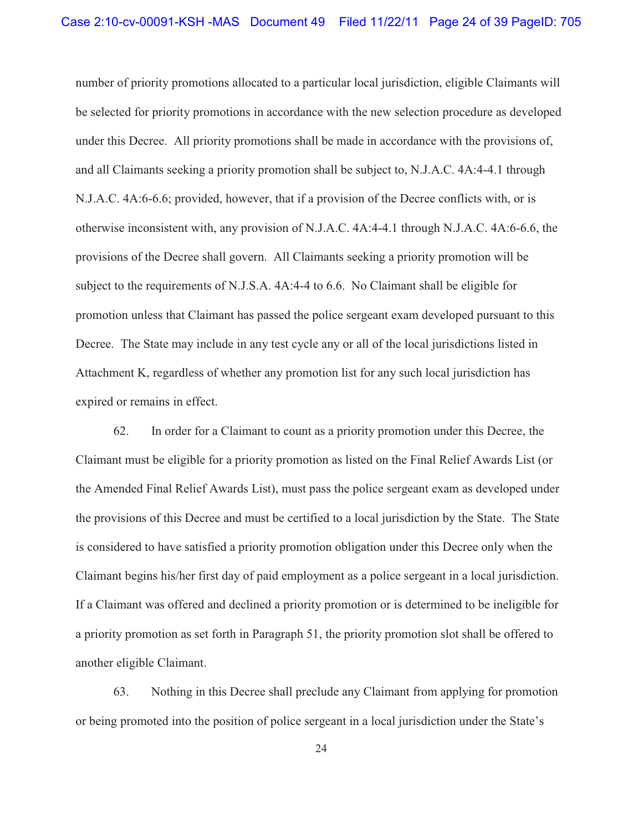number of priority promotions allocated to a particular local jurisdiction, eligible Claimants will be selected for priority promotions in accordance with the new selection procedure as developed under this Decree. All priority promotions shall be made in accordance with the provisions of, and all Claimants seeking a priority promotion shall be subject to, N.J.A.C. 4A:4-4.1 through N.J.A.C. 4A:6-6.6; provided, however, that if a provision of the Decree conflicts with, or is otherwise inconsistent with, any provision of N.J.A.C. 4A:4-4.1 through N.J.A.C. 4A:6-6.6, the provisions of the Decree shall govern. All Claimants seeking a priority promotion will be subject to the requirements of N.J.S.A. 4A:4-4 to 6.6. No Claimant shall be eligible for promotion unless that Claimant has passed the police sergeant exam developed pursuant to this Decree. The State may include in any test cycle any or all of the local jurisdictions listed in Attachment K, regardless of whether any promotion list for any such local jurisdiction has expired or remains in effect.

62. In order for a Claimant to count as a priority promotion under this Decree, the Claimant must be eligible for a priority promotion as listed on the Final Relief Awards List (or the Amended Final Relief Awards List), must pass the police sergeant exam as developed under the provisions of this Decree and must be certified to a local jurisdiction by the State. The State is considered to have satisfied a priority promotion obligation under this Decree only when the Claimant begins his/her first day of paid employment as a police sergeant in a local jurisdiction. If a Claimant was offered and declined a priority promotion or is determined to be ineligible for a priority promotion as set forth in Paragraph 51, the priority promotion slot shall be offered to another eligible Claimant.

63. Nothing in this Decree shall preclude any Claimant from applying for promotion or being promoted into the position of police sergeant in a local jurisdiction under the State's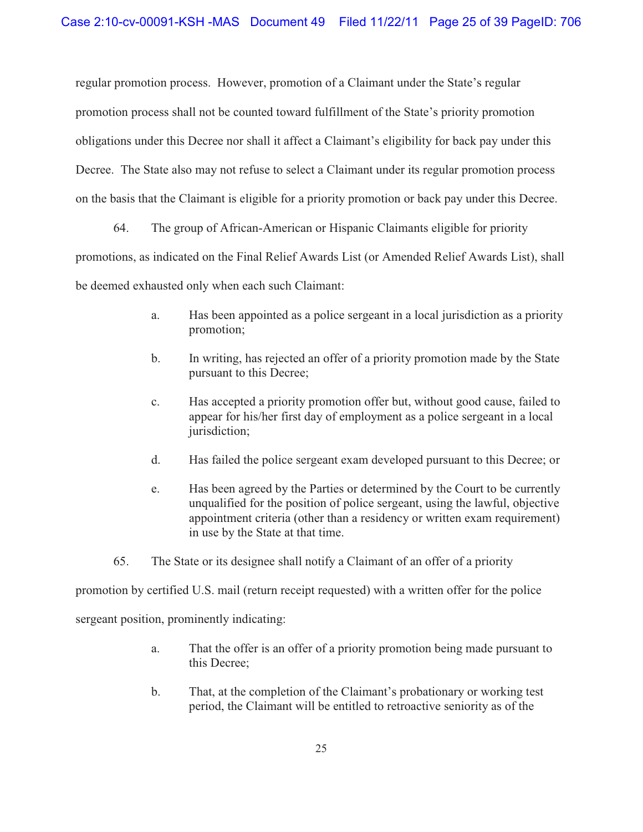regular promotion process. However, promotion of a Claimant under the State's regular promotion process shall not be counted toward fulfillment of the State's priority promotion obligations under this Decree nor shall it affect a Claimant's eligibility for back pay under this Decree. The State also may not refuse to select a Claimant under its regular promotion process on the basis that the Claimant is eligible for a priority promotion or back pay under this Decree.

64. The group of African-American or Hispanic Claimants eligible for priority promotions, as indicated on the Final Relief Awards List (or Amended Relief Awards List), shall be deemed exhausted only when each such Claimant:

- a. Has been appointed as a police sergeant in a local jurisdiction as a priority promotion;
- b. In writing, has rejected an offer of a priority promotion made by the State pursuant to this Decree;
- c. Has accepted a priority promotion offer but, without good cause, failed to appear for his/her first day of employment as a police sergeant in a local jurisdiction;
- d. Has failed the police sergeant exam developed pursuant to this Decree; or
- e. Has been agreed by the Parties or determined by the Court to be currently unqualified for the position of police sergeant, using the lawful, objective appointment criteria (other than a residency or written exam requirement) in use by the State at that time.
- 65. The State or its designee shall notify a Claimant of an offer of a priority

promotion by certified U.S. mail (return receipt requested) with a written offer for the police

sergeant position, prominently indicating:

- a. That the offer is an offer of a priority promotion being made pursuant to this Decree;
- b. That, at the completion of the Claimant's probationary or working test period, the Claimant will be entitled to retroactive seniority as of the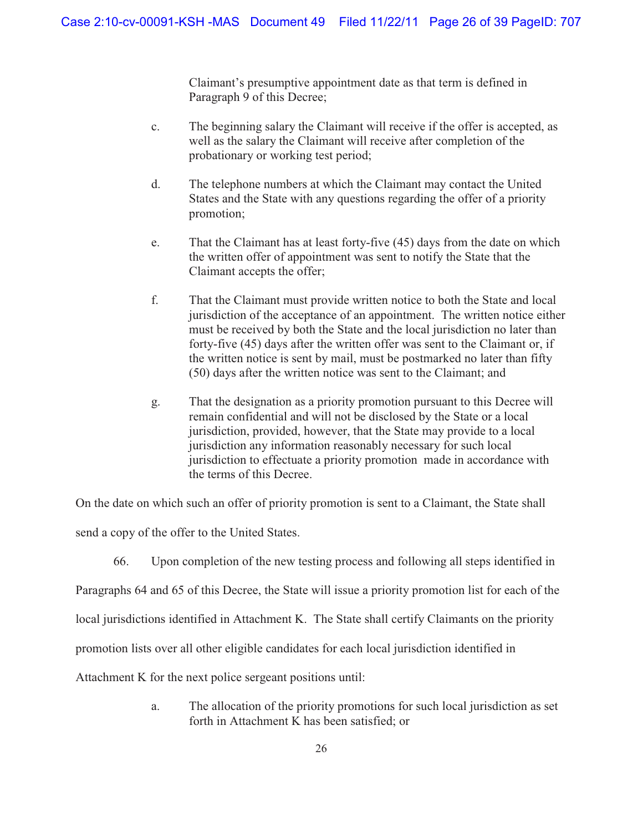Claimant's presumptive appointment date as that term is defined in Paragraph 9 of this Decree;

- c. The beginning salary the Claimant will receive if the offer is accepted, as well as the salary the Claimant will receive after completion of the probationary or working test period;
- d. The telephone numbers at which the Claimant may contact the United States and the State with any questions regarding the offer of a priority promotion;
- e. That the Claimant has at least forty-five (45) days from the date on which the written offer of appointment was sent to notify the State that the Claimant accepts the offer;
- f. That the Claimant must provide written notice to both the State and local jurisdiction of the acceptance of an appointment. The written notice either must be received by both the State and the local jurisdiction no later than forty-five (45) days after the written offer was sent to the Claimant or, if the written notice is sent by mail, must be postmarked no later than fifty (50) days after the written notice was sent to the Claimant; and
- g. That the designation as a priority promotion pursuant to this Decree will remain confidential and will not be disclosed by the State or a local jurisdiction, provided, however, that the State may provide to a local jurisdiction any information reasonably necessary for such local jurisdiction to effectuate a priority promotion made in accordance with the terms of this Decree.

On the date on which such an offer of priority promotion is sent to a Claimant, the State shall

send a copy of the offer to the United States.

66. Upon completion of the new testing process and following all steps identified in

Paragraphs 64 and 65 of this Decree, the State will issue a priority promotion list for each of the

local jurisdictions identified in Attachment K. The State shall certify Claimants on the priority

promotion lists over all other eligible candidates for each local jurisdiction identified in

Attachment K for the next police sergeant positions until:

a. The allocation of the priority promotions for such local jurisdiction as set forth in Attachment K has been satisfied; or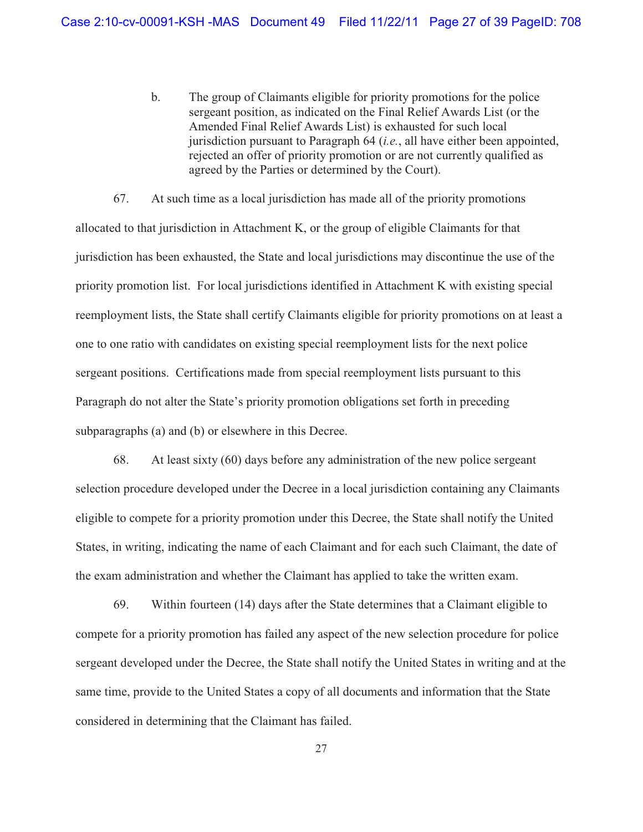b. The group of Claimants eligible for priority promotions for the police sergeant position, as indicated on the Final Relief Awards List (or the Amended Final Relief Awards List) is exhausted for such local jurisdiction pursuant to Paragraph 64 (*i.e.*, all have either been appointed, rejected an offer of priority promotion or are not currently qualified as agreed by the Parties or determined by the Court).

67. At such time as a local jurisdiction has made all of the priority promotions allocated to that jurisdiction in Attachment K, or the group of eligible Claimants for that jurisdiction has been exhausted, the State and local jurisdictions may discontinue the use of the priority promotion list. For local jurisdictions identified in Attachment K with existing special reemployment lists, the State shall certify Claimants eligible for priority promotions on at least a one to one ratio with candidates on existing special reemployment lists for the next police sergeant positions. Certifications made from special reemployment lists pursuant to this Paragraph do not alter the State's priority promotion obligations set forth in preceding subparagraphs (a) and (b) or elsewhere in this Decree.

68. At least sixty (60) days before any administration of the new police sergeant selection procedure developed under the Decree in a local jurisdiction containing any Claimants eligible to compete for a priority promotion under this Decree, the State shall notify the United States, in writing, indicating the name of each Claimant and for each such Claimant, the date of the exam administration and whether the Claimant has applied to take the written exam.

69. Within fourteen (14) days after the State determines that a Claimant eligible to compete for a priority promotion has failed any aspect of the new selection procedure for police sergeant developed under the Decree, the State shall notify the United States in writing and at the same time, provide to the United States a copy of all documents and information that the State considered in determining that the Claimant has failed.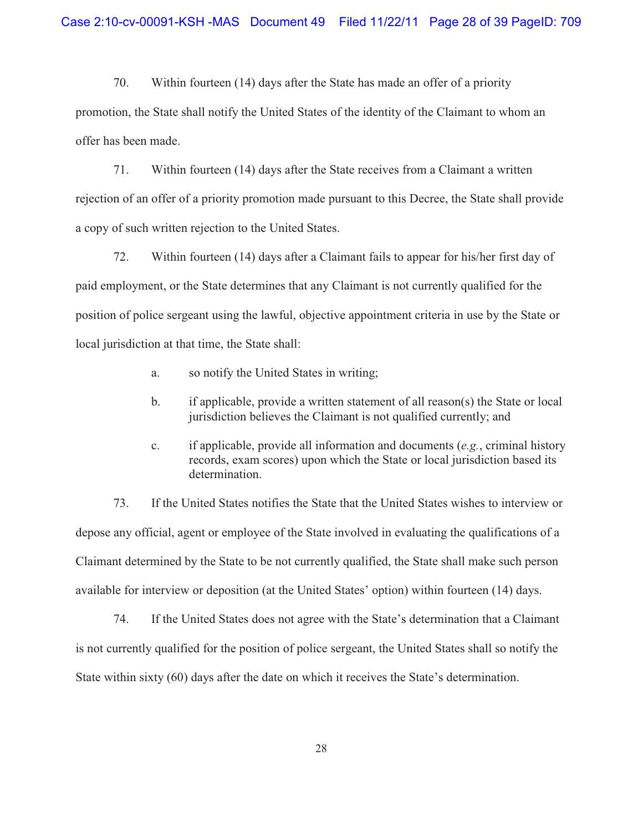70. Within fourteen (14) days after the State has made an offer of a priority promotion, the State shall notify the United States of the identity of the Claimant to whom an offer has been made.

71. Within fourteen (14) days after the State receives from a Claimant a written rejection of an offer of a priority promotion made pursuant to this Decree, the State shall provide a copy of such written rejection to the United States.

72. Within fourteen (14) days after a Claimant fails to appear for his/her first day of paid employment, or the State determines that any Claimant is not currently qualified for the position of police sergeant using the lawful, objective appointment criteria in use by the State or local jurisdiction at that time, the State shall:

- a. so notify the United States in writing;
- b. if applicable, provide a written statement of all reason(s) the State or local jurisdiction believes the Claimant is not qualified currently; and
- c. if applicable, provide all information and documents (*e.g.*, criminal history records, exam scores) upon which the State or local jurisdiction based its determination.

73. If the United States notifies the State that the United States wishes to interview or depose any official, agent or employee of the State involved in evaluating the qualifications of a Claimant determined by the State to be not currently qualified, the State shall make such person available for interview or deposition (at the United States' option) within fourteen (14) days.

74. If the United States does not agree with the State's determination that a Claimant is not currently qualified for the position of police sergeant, the United States shall so notify the State within sixty (60) days after the date on which it receives the State's determination.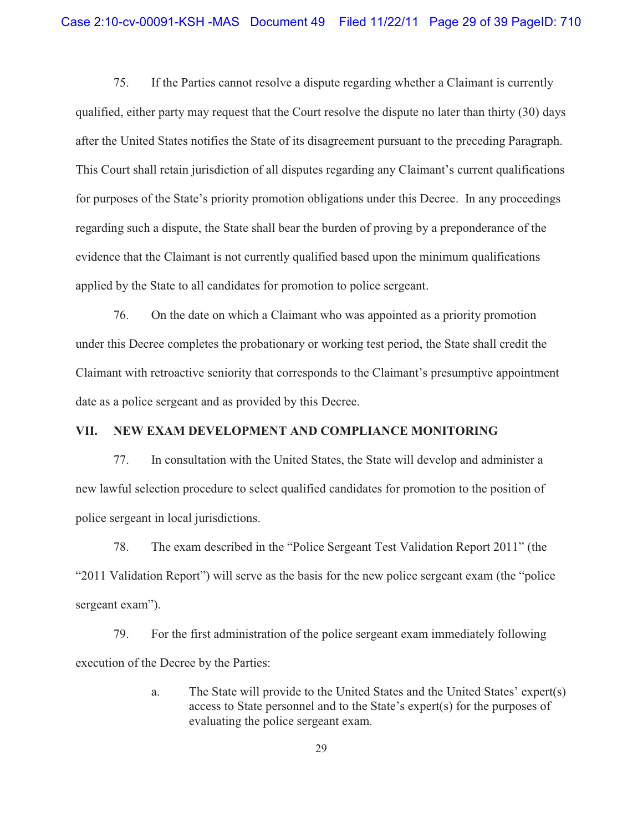75. If the Parties cannot resolve a dispute regarding whether a Claimant is currently qualified, either party may request that the Court resolve the dispute no later than thirty (30) days after the United States notifies the State of its disagreement pursuant to the preceding Paragraph. This Court shall retain jurisdiction of all disputes regarding any Claimant's current qualifications for purposes of the State's priority promotion obligations under this Decree. In any proceedings regarding such a dispute, the State shall bear the burden of proving by a preponderance of the evidence that the Claimant is not currently qualified based upon the minimum qualifications applied by the State to all candidates for promotion to police sergeant.

76. On the date on which a Claimant who was appointed as a priority promotion under this Decree completes the probationary or working test period, the State shall credit the Claimant with retroactive seniority that corresponds to the Claimant's presumptive appointment date as a police sergeant and as provided by this Decree.

### **VII. NEW EXAM DEVELOPMENT AND COMPLIANCE MONITORING**

77. In consultation with the United States, the State will develop and administer a new lawful selection procedure to select qualified candidates for promotion to the position of police sergeant in local jurisdictions.

78. The exam described in the "Police Sergeant Test Validation Report 2011" (the "2011 Validation Report") will serve as the basis for the new police sergeant exam (the "police sergeant exam").

79. For the first administration of the police sergeant exam immediately following execution of the Decree by the Parties:

> a. The State will provide to the United States and the United States' expert(s) access to State personnel and to the State's expert(s) for the purposes of evaluating the police sergeant exam.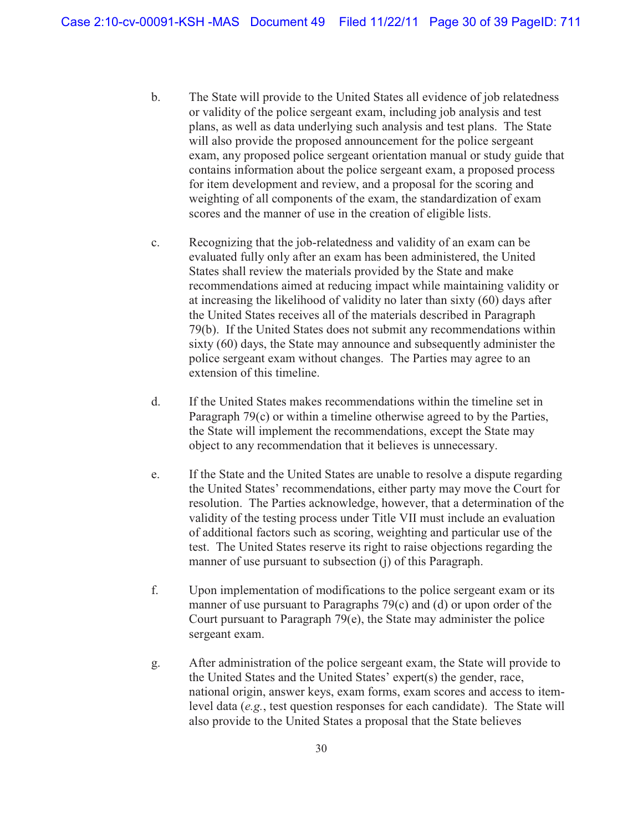- b. The State will provide to the United States all evidence of job relatedness or validity of the police sergeant exam, including job analysis and test plans, as well as data underlying such analysis and test plans. The State will also provide the proposed announcement for the police sergeant exam, any proposed police sergeant orientation manual or study guide that contains information about the police sergeant exam, a proposed process for item development and review, and a proposal for the scoring and weighting of all components of the exam, the standardization of exam scores and the manner of use in the creation of eligible lists.
- c. Recognizing that the job-relatedness and validity of an exam can be evaluated fully only after an exam has been administered, the United States shall review the materials provided by the State and make recommendations aimed at reducing impact while maintaining validity or at increasing the likelihood of validity no later than sixty (60) days after the United States receives all of the materials described in Paragraph 79(b). If the United States does not submit any recommendations within sixty (60) days, the State may announce and subsequently administer the police sergeant exam without changes. The Parties may agree to an extension of this timeline.
- d. If the United States makes recommendations within the timeline set in Paragraph 79(c) or within a timeline otherwise agreed to by the Parties, the State will implement the recommendations, except the State may object to any recommendation that it believes is unnecessary.
- e. If the State and the United States are unable to resolve a dispute regarding the United States' recommendations, either party may move the Court for resolution. The Parties acknowledge, however, that a determination of the validity of the testing process under Title VII must include an evaluation of additional factors such as scoring, weighting and particular use of the test. The United States reserve its right to raise objections regarding the manner of use pursuant to subsection (j) of this Paragraph.
- f. Upon implementation of modifications to the police sergeant exam or its manner of use pursuant to Paragraphs 79(c) and (d) or upon order of the Court pursuant to Paragraph 79(e), the State may administer the police sergeant exam.
- g. After administration of the police sergeant exam, the State will provide to the United States and the United States' expert(s) the gender, race, national origin, answer keys, exam forms, exam scores and access to itemlevel data (*e.g.*, test question responses for each candidate). The State will also provide to the United States a proposal that the State believes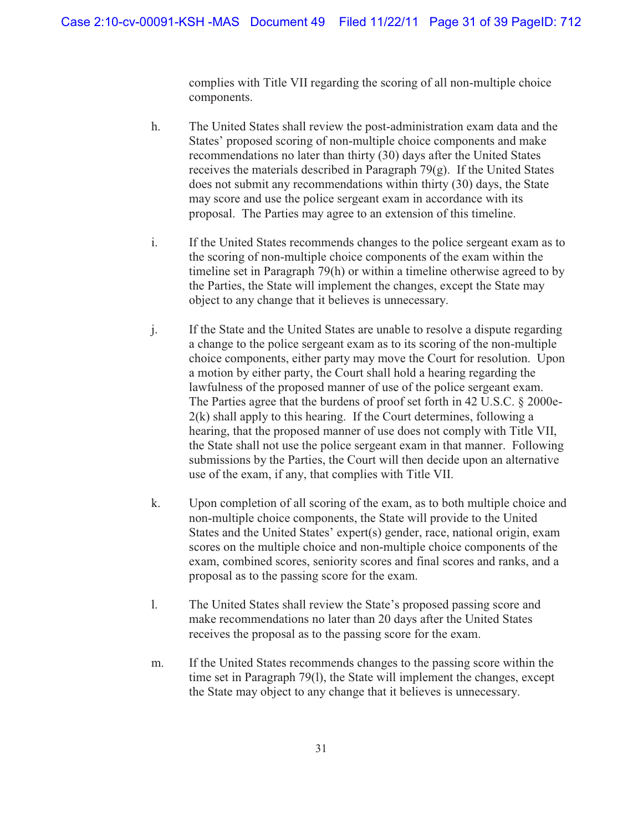complies with Title VII regarding the scoring of all non-multiple choice components.

- h. The United States shall review the post-administration exam data and the States' proposed scoring of non-multiple choice components and make recommendations no later than thirty (30) days after the United States receives the materials described in Paragraph 79(g). If the United States does not submit any recommendations within thirty (30) days, the State may score and use the police sergeant exam in accordance with its proposal. The Parties may agree to an extension of this timeline.
- i. If the United States recommends changes to the police sergeant exam as to the scoring of non-multiple choice components of the exam within the timeline set in Paragraph 79(h) or within a timeline otherwise agreed to by the Parties, the State will implement the changes, except the State may object to any change that it believes is unnecessary.
- j. If the State and the United States are unable to resolve a dispute regarding a change to the police sergeant exam as to its scoring of the non-multiple choice components, either party may move the Court for resolution. Upon a motion by either party, the Court shall hold a hearing regarding the lawfulness of the proposed manner of use of the police sergeant exam. The Parties agree that the burdens of proof set forth in 42 U.S.C. § 2000e-2(k) shall apply to this hearing. If the Court determines, following a hearing, that the proposed manner of use does not comply with Title VII, the State shall not use the police sergeant exam in that manner. Following submissions by the Parties, the Court will then decide upon an alternative use of the exam, if any, that complies with Title VII.
- k. Upon completion of all scoring of the exam, as to both multiple choice and non-multiple choice components, the State will provide to the United States and the United States' expert(s) gender, race, national origin, exam scores on the multiple choice and non-multiple choice components of the exam, combined scores, seniority scores and final scores and ranks, and a proposal as to the passing score for the exam.
- l. The United States shall review the State's proposed passing score and make recommendations no later than 20 days after the United States receives the proposal as to the passing score for the exam.
- m. If the United States recommends changes to the passing score within the time set in Paragraph 79(l), the State will implement the changes, except the State may object to any change that it believes is unnecessary.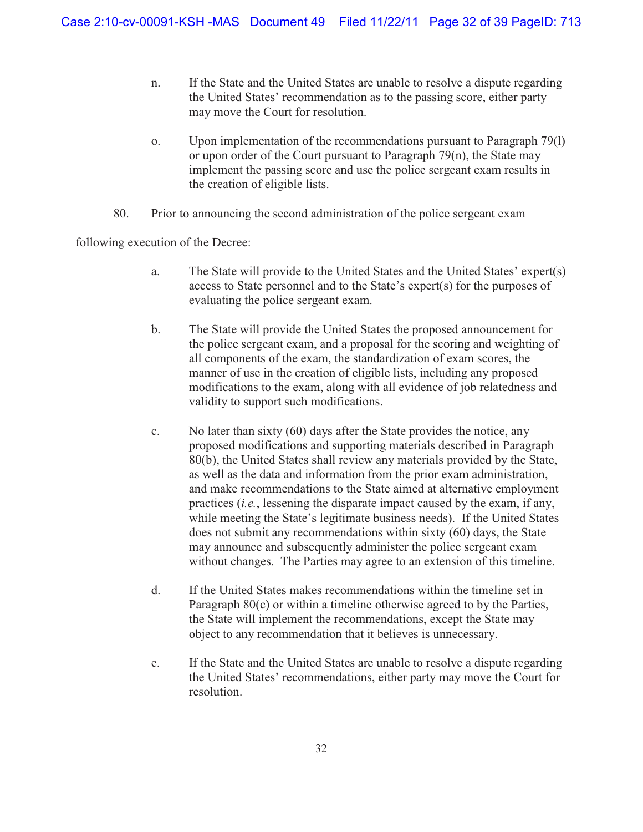- n. If the State and the United States are unable to resolve a dispute regarding the United States' recommendation as to the passing score, either party may move the Court for resolution.
- o. Upon implementation of the recommendations pursuant to Paragraph 79(l) or upon order of the Court pursuant to Paragraph 79(n), the State may implement the passing score and use the police sergeant exam results in the creation of eligible lists.
- 80. Prior to announcing the second administration of the police sergeant exam

following execution of the Decree:

- a. The State will provide to the United States and the United States' expert(s) access to State personnel and to the State's expert(s) for the purposes of evaluating the police sergeant exam.
- b. The State will provide the United States the proposed announcement for the police sergeant exam, and a proposal for the scoring and weighting of all components of the exam, the standardization of exam scores, the manner of use in the creation of eligible lists, including any proposed modifications to the exam, along with all evidence of job relatedness and validity to support such modifications.
- c. No later than sixty (60) days after the State provides the notice, any proposed modifications and supporting materials described in Paragraph 80(b), the United States shall review any materials provided by the State, as well as the data and information from the prior exam administration, and make recommendations to the State aimed at alternative employment practices (*i.e.*, lessening the disparate impact caused by the exam, if any, while meeting the State's legitimate business needs). If the United States does not submit any recommendations within sixty (60) days, the State may announce and subsequently administer the police sergeant exam without changes. The Parties may agree to an extension of this timeline.
- d. If the United States makes recommendations within the timeline set in Paragraph 80(c) or within a timeline otherwise agreed to by the Parties, the State will implement the recommendations, except the State may object to any recommendation that it believes is unnecessary.
- e. If the State and the United States are unable to resolve a dispute regarding the United States' recommendations, either party may move the Court for resolution.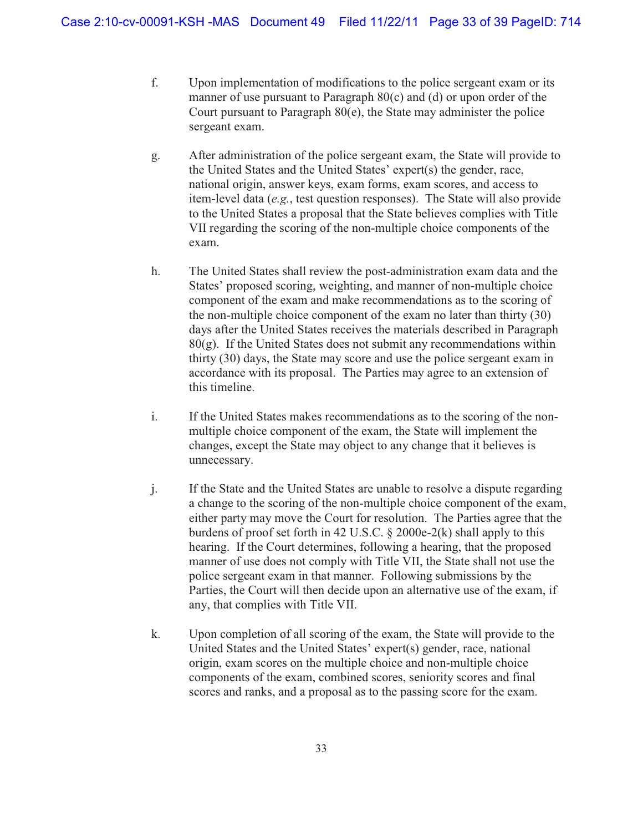- f. Upon implementation of modifications to the police sergeant exam or its manner of use pursuant to Paragraph 80(c) and (d) or upon order of the Court pursuant to Paragraph 80(e), the State may administer the police sergeant exam.
- g. After administration of the police sergeant exam, the State will provide to the United States and the United States' expert(s) the gender, race, national origin, answer keys, exam forms, exam scores, and access to item-level data (*e.g.*, test question responses). The State will also provide to the United States a proposal that the State believes complies with Title VII regarding the scoring of the non-multiple choice components of the exam.
- h. The United States shall review the post-administration exam data and the States' proposed scoring, weighting, and manner of non-multiple choice component of the exam and make recommendations as to the scoring of the non-multiple choice component of the exam no later than thirty (30) days after the United States receives the materials described in Paragraph  $80(g)$ . If the United States does not submit any recommendations within thirty (30) days, the State may score and use the police sergeant exam in accordance with its proposal. The Parties may agree to an extension of this timeline.
- i. If the United States makes recommendations as to the scoring of the nonmultiple choice component of the exam, the State will implement the changes, except the State may object to any change that it believes is unnecessary.
- j. If the State and the United States are unable to resolve a dispute regarding a change to the scoring of the non-multiple choice component of the exam, either party may move the Court for resolution. The Parties agree that the burdens of proof set forth in 42 U.S.C. § 2000e-2(k) shall apply to this hearing. If the Court determines, following a hearing, that the proposed manner of use does not comply with Title VII, the State shall not use the police sergeant exam in that manner. Following submissions by the Parties, the Court will then decide upon an alternative use of the exam, if any, that complies with Title VII.
- k. Upon completion of all scoring of the exam, the State will provide to the United States and the United States' expert(s) gender, race, national origin, exam scores on the multiple choice and non-multiple choice components of the exam, combined scores, seniority scores and final scores and ranks, and a proposal as to the passing score for the exam.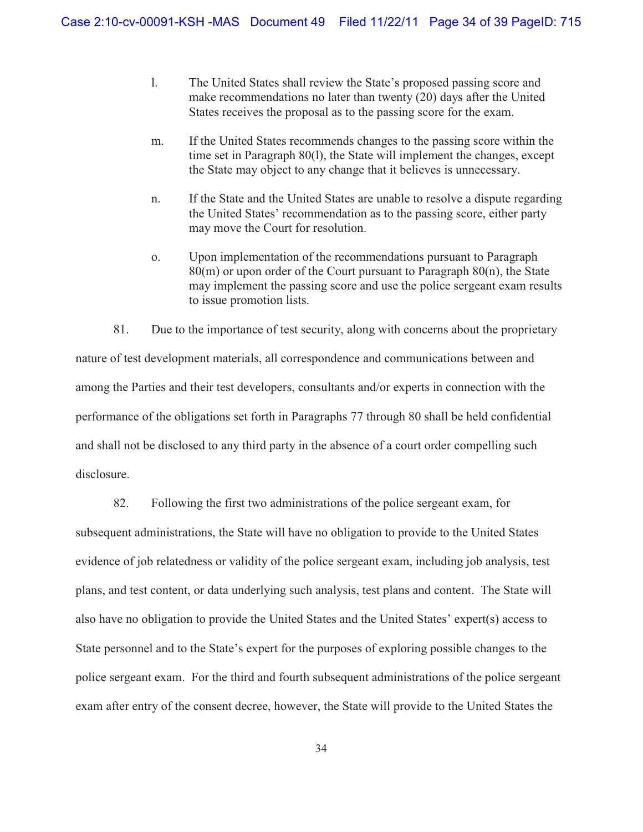- l. The United States shall review the State's proposed passing score and make recommendations no later than twenty (20) days after the United States receives the proposal as to the passing score for the exam.
- m. If the United States recommends changes to the passing score within the time set in Paragraph 80(l), the State will implement the changes, except the State may object to any change that it believes is unnecessary.
- n. If the State and the United States are unable to resolve a dispute regarding the United States' recommendation as to the passing score, either party may move the Court for resolution.
- o. Upon implementation of the recommendations pursuant to Paragraph 80(m) or upon order of the Court pursuant to Paragraph 80(n), the State may implement the passing score and use the police sergeant exam results to issue promotion lists.

81. Due to the importance of test security, along with concerns about the proprietary nature of test development materials, all correspondence and communications between and among the Parties and their test developers, consultants and/or experts in connection with the performance of the obligations set forth in Paragraphs 77 through 80 shall be held confidential and shall not be disclosed to any third party in the absence of a court order compelling such disclosure.

82. Following the first two administrations of the police sergeant exam, for

subsequent administrations, the State will have no obligation to provide to the United States evidence of job relatedness or validity of the police sergeant exam, including job analysis, test plans, and test content, or data underlying such analysis, test plans and content. The State will also have no obligation to provide the United States and the United States' expert(s) access to State personnel and to the State's expert for the purposes of exploring possible changes to the police sergeant exam. For the third and fourth subsequent administrations of the police sergeant exam after entry of the consent decree, however, the State will provide to the United States the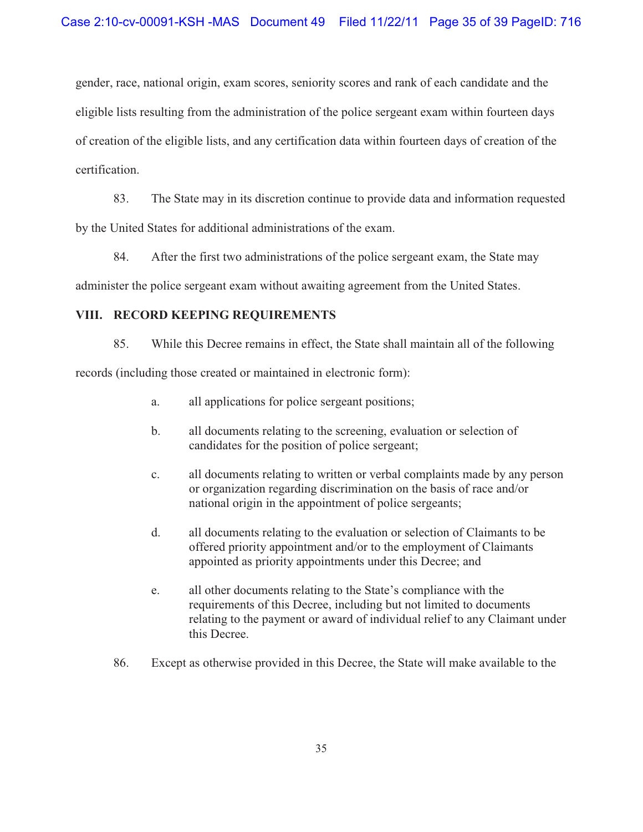gender, race, national origin, exam scores, seniority scores and rank of each candidate and the eligible lists resulting from the administration of the police sergeant exam within fourteen days of creation of the eligible lists, and any certification data within fourteen days of creation of the certification.

83. The State may in its discretion continue to provide data and information requested by the United States for additional administrations of the exam.

84. After the first two administrations of the police sergeant exam, the State may

administer the police sergeant exam without awaiting agreement from the United States.

### **VIII. RECORD KEEPING REQUIREMENTS**

85. While this Decree remains in effect, the State shall maintain all of the following

records (including those created or maintained in electronic form):

- a. all applications for police sergeant positions;
- b. all documents relating to the screening, evaluation or selection of candidates for the position of police sergeant;
- c. all documents relating to written or verbal complaints made by any person or organization regarding discrimination on the basis of race and/or national origin in the appointment of police sergeants;
- d. all documents relating to the evaluation or selection of Claimants to be offered priority appointment and/or to the employment of Claimants appointed as priority appointments under this Decree; and
- e. all other documents relating to the State's compliance with the requirements of this Decree, including but not limited to documents relating to the payment or award of individual relief to any Claimant under this Decree.
- 86. Except as otherwise provided in this Decree, the State will make available to the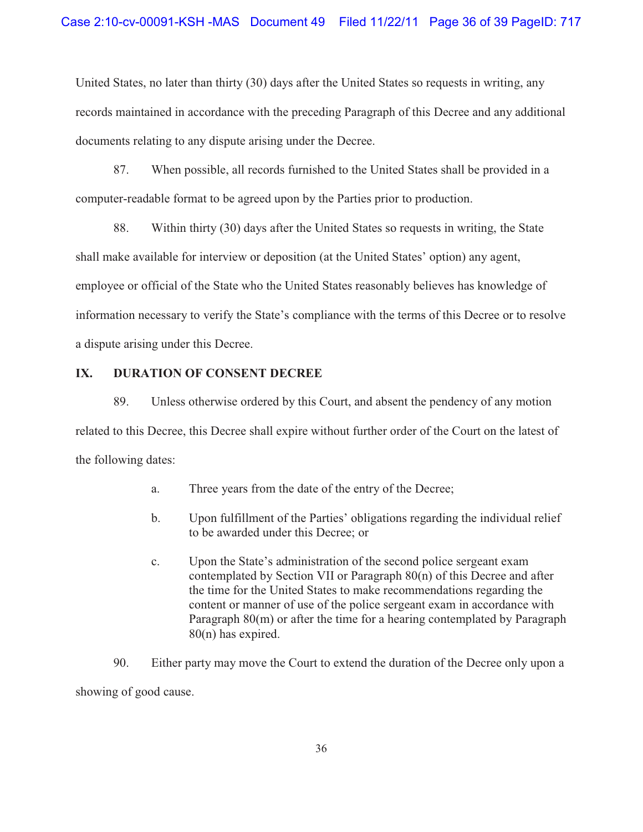United States, no later than thirty (30) days after the United States so requests in writing, any records maintained in accordance with the preceding Paragraph of this Decree and any additional documents relating to any dispute arising under the Decree.

87. When possible, all records furnished to the United States shall be provided in a computer-readable format to be agreed upon by the Parties prior to production.

88. Within thirty (30) days after the United States so requests in writing, the State shall make available for interview or deposition (at the United States' option) any agent, employee or official of the State who the United States reasonably believes has knowledge of information necessary to verify the State's compliance with the terms of this Decree or to resolve a dispute arising under this Decree.

## **IX. DURATION OF CONSENT DECREE**

89. Unless otherwise ordered by this Court, and absent the pendency of any motion related to this Decree, this Decree shall expire without further order of the Court on the latest of the following dates:

- a. Three years from the date of the entry of the Decree;
- b. Upon fulfillment of the Parties' obligations regarding the individual relief to be awarded under this Decree; or
- c. Upon the State's administration of the second police sergeant exam contemplated by Section VII or Paragraph 80(n) of this Decree and after the time for the United States to make recommendations regarding the content or manner of use of the police sergeant exam in accordance with Paragraph 80(m) or after the time for a hearing contemplated by Paragraph 80(n) has expired.

90. Either party may move the Court to extend the duration of the Decree only upon a showing of good cause.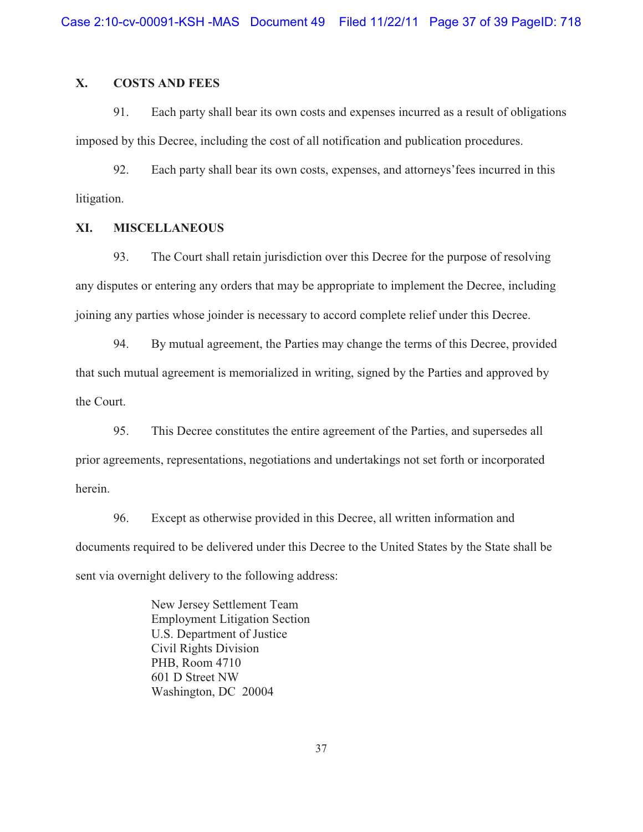# **X. COSTS AND FEES**

91. Each party shall bear its own costs and expenses incurred as a result of obligations imposed by this Decree, including the cost of all notification and publication procedures.

92. Each party shall bear its own costs, expenses, and attorneys'fees incurred in this litigation.

#### **XI. MISCELLANEOUS**

93. The Court shall retain jurisdiction over this Decree for the purpose of resolving any disputes or entering any orders that may be appropriate to implement the Decree, including joining any parties whose joinder is necessary to accord complete relief under this Decree.

94. By mutual agreement, the Parties may change the terms of this Decree, provided that such mutual agreement is memorialized in writing, signed by the Parties and approved by the Court.

95. This Decree constitutes the entire agreement of the Parties, and supersedes all prior agreements, representations, negotiations and undertakings not set forth or incorporated herein.

96. Except as otherwise provided in this Decree, all written information and documents required to be delivered under this Decree to the United States by the State shall be sent via overnight delivery to the following address:

> New Jersey Settlement Team Employment Litigation Section U.S. Department of Justice Civil Rights Division PHB, Room 4710 601 D Street NW Washington, DC 20004

> > 37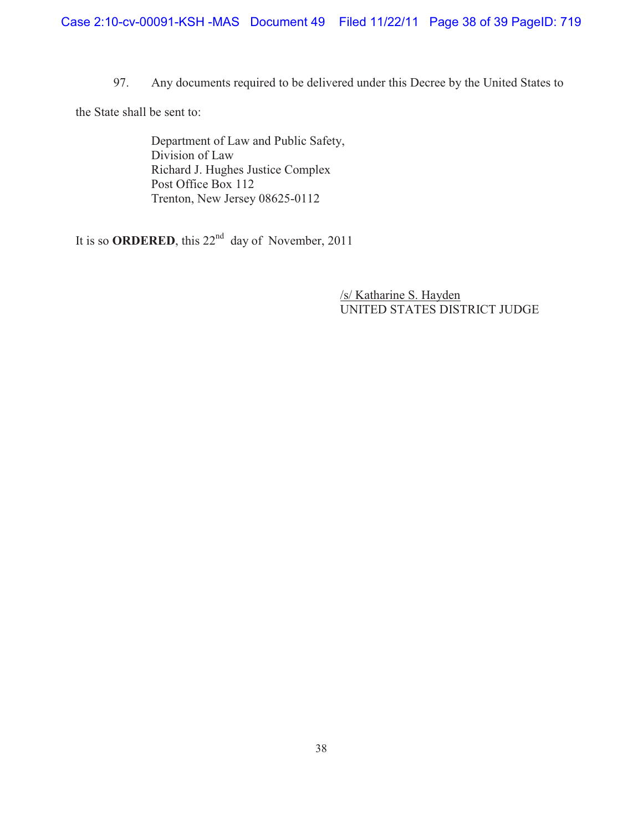97. Any documents required to be delivered under this Decree by the United States to

the State shall be sent to:

 Department of Law and Public Safety, Division of Law Richard J. Hughes Justice Complex Post Office Box 112 Trenton, New Jersey 08625-0112

It is so **ORDERED**, this 22<sup>nd</sup> day of November, 2011

 /s/ Katharine S. Hayden UNITED STATES DISTRICT JUDGE